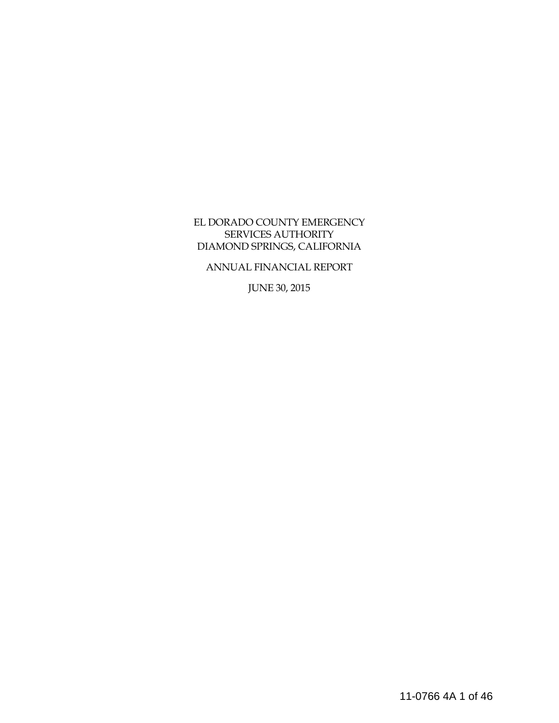### EL DORADO COUNTY EMERGENCY SERVICES AUTHORITY DIAMOND SPRINGS, CALIFORNIA

ANNUAL FINANCIAL REPORT

JUNE 30, 2015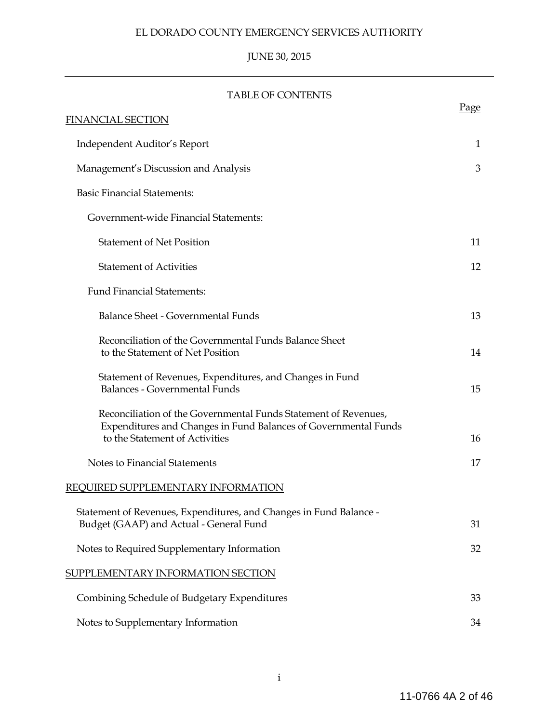# JUNE 30, 2015

### TABLE OF CONTENTS

| <b>FINANCIAL SECTION</b>                                                                                                                                             | <u>Page</u> |
|----------------------------------------------------------------------------------------------------------------------------------------------------------------------|-------------|
| Independent Auditor's Report                                                                                                                                         | 1           |
| Management's Discussion and Analysis                                                                                                                                 | 3           |
| <b>Basic Financial Statements:</b>                                                                                                                                   |             |
| Government-wide Financial Statements:                                                                                                                                |             |
| <b>Statement of Net Position</b>                                                                                                                                     | 11          |
| <b>Statement of Activities</b>                                                                                                                                       | 12          |
| <b>Fund Financial Statements:</b>                                                                                                                                    |             |
| <b>Balance Sheet - Governmental Funds</b>                                                                                                                            | 13          |
| Reconciliation of the Governmental Funds Balance Sheet<br>to the Statement of Net Position                                                                           | 14          |
| Statement of Revenues, Expenditures, and Changes in Fund<br><b>Balances - Governmental Funds</b>                                                                     | 15          |
| Reconciliation of the Governmental Funds Statement of Revenues,<br>Expenditures and Changes in Fund Balances of Governmental Funds<br>to the Statement of Activities | 16          |
| Notes to Financial Statements                                                                                                                                        | 17          |
| REQUIRED SUPPLEMENTARY INFORMATION                                                                                                                                   |             |
| Statement of Revenues, Expenditures, and Changes in Fund Balance -<br>Budget (GAAP) and Actual - General Fund                                                        | 31          |
| Notes to Required Supplementary Information                                                                                                                          | 32          |
| SUPPLEMENTARY INFORMATION SECTION                                                                                                                                    |             |
| Combining Schedule of Budgetary Expenditures                                                                                                                         | 33          |
| Notes to Supplementary Information                                                                                                                                   | 34          |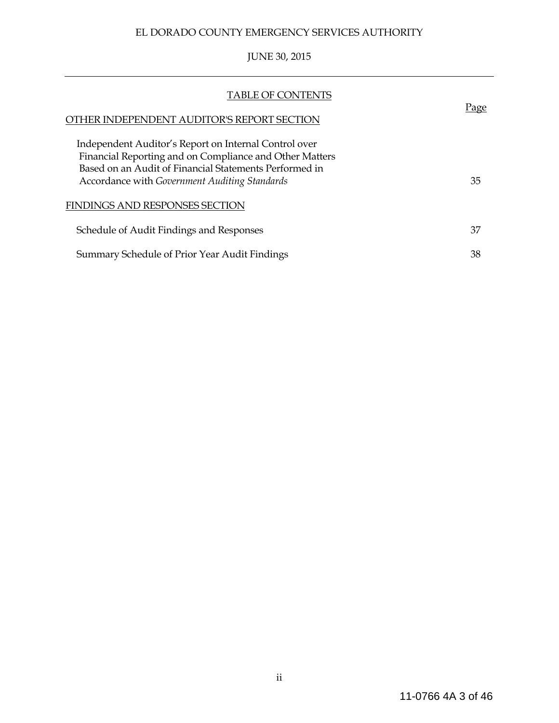# JUNE 30, 2015

| <b>TABLE OF CONTENTS</b>                                                                                                                                                                                                    |      |
|-----------------------------------------------------------------------------------------------------------------------------------------------------------------------------------------------------------------------------|------|
| 'HER INDEPENDENT AUDITOR'S REPORT SECTION                                                                                                                                                                                   | Page |
| Independent Auditor's Report on Internal Control over<br>Financial Reporting and on Compliance and Other Matters<br>Based on an Audit of Financial Statements Performed in<br>Accordance with Government Auditing Standards | 35   |
| FINDINGS AND RESPONSES SECTION                                                                                                                                                                                              |      |
| Schedule of Audit Findings and Responses                                                                                                                                                                                    | 37   |
| Summary Schedule of Prior Year Audit Findings                                                                                                                                                                               | 38   |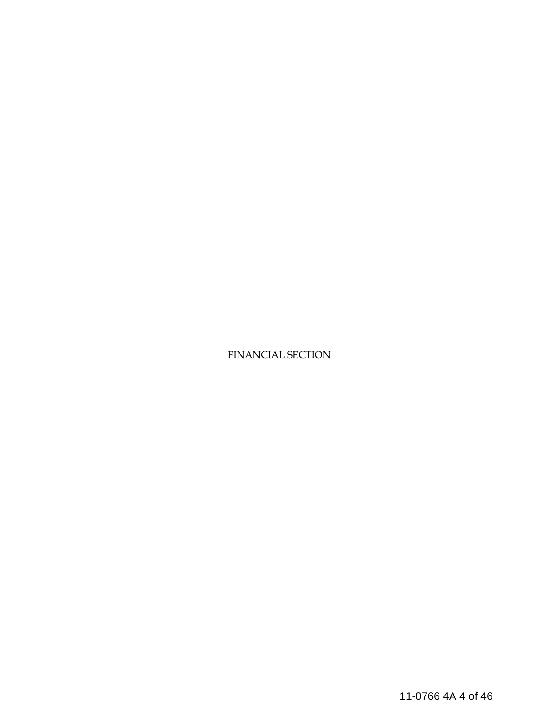FINANCIAL SECTION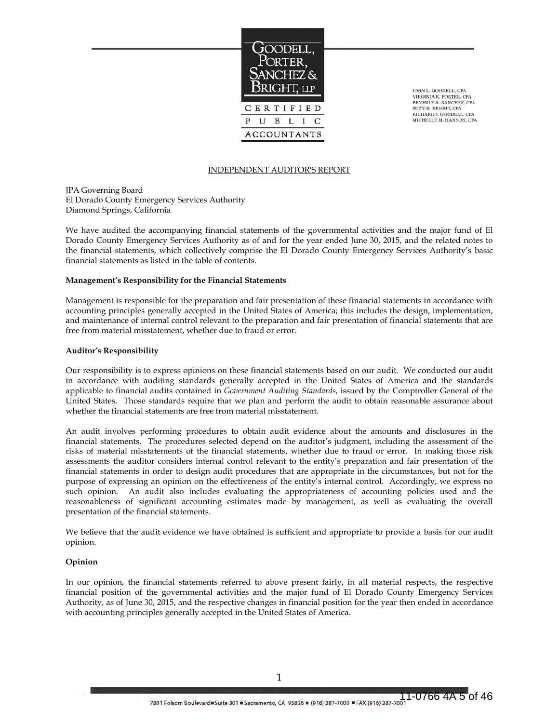

JOHN L. GOODELL, CPA VIRGINIA K. PORTER, CPA BEVERLY A. SANCHEZ, CPA SUZY H. BRIGHT, CPA RICHARD J. GOODELL, CPA MICHELLE M. HANSON, CPA

#### INDEPENDENT AUDITOR'S REPORT

JPA Governing Board El Dorado County Emergency Services Authority Diamond Springs, California

We have audited the accompanying financial statements of the governmental activities and the major fund of El Dorado County Emergency Services Authority as of and for the year ended June 30, 2015, and the related notes to the financial statements, which collectively comprise the El Dorado County Emergency Services Authority's basic financial statements as listed in the table of contents.

#### **Management's Responsibility for the Financial Statements**

Management is responsible for the preparation and fair presentation of these financial statements in accordance with accounting principles generally accepted in the United States of America; this includes the design, implementation, and maintenance of internal control relevant to the preparation and fair presentation of financial statements that are free from material misstatement, whether due to fraud or error.

#### **Auditor's Responsibility**

Our responsibility is to express opinions on these financial statements based on our audit. We conducted our audit in accordance with auditing standards generally accepted in the United States of America and the standards applicable to financial audits contained in *Government Auditing Standards*, issued by the Comptroller General of the United States. Those standards require that we plan and perform the audit to obtain reasonable assurance about whether the financial statements are free from material misstatement.

An audit involves performing procedures to obtain audit evidence about the amounts and disclosures in the financial statements. The procedures selected depend on the auditor's judgment, including the assessment of the risks of material misstatements of the financial statements, whether due to fraud or error. In making those risk assessments the auditor considers internal control relevant to the entity's preparation and fair presentation of the financial statements in order to design audit procedures that are appropriate in the circumstances, but not for the purpose of expressing an opinion on the effectiveness of the entity's internal control. Accordingly, we express no such opinion. An audit also includes evaluating the appropriateness of accounting policies used and the reasonableness of significant accounting estimates made by management, as well as evaluating the overall presentation of the financial statements.

We believe that the audit evidence we have obtained is sufficient and appropriate to provide a basis for our audit opinion.

#### **Opinion**

In our opinion, the financial statements referred to above present fairly, in all material respects, the respective financial position of the governmental activities and the major fund of El Dorado County Emergency Services Authority, as of June 30, 2015, and the respective changes in financial position for the year then ended in accordance with accounting principles generally accepted in the United States of America.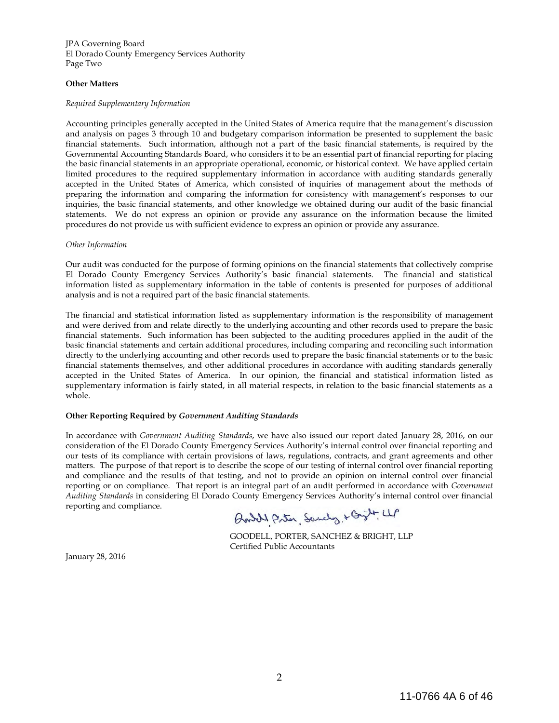JPA Governing Board El Dorado County Emergency Services Authority Page Two

#### **Other Matters**

#### *Required Supplementary Information*

Accounting principles generally accepted in the United States of America require that the management's discussion and analysis on pages 3 through 10 and budgetary comparison information be presented to supplement the basic financial statements. Such information, although not a part of the basic financial statements, is required by the Governmental Accounting Standards Board, who considers it to be an essential part of financial reporting for placing the basic financial statements in an appropriate operational, economic, or historical context. We have applied certain limited procedures to the required supplementary information in accordance with auditing standards generally accepted in the United States of America, which consisted of inquiries of management about the methods of preparing the information and comparing the information for consistency with management's responses to our inquiries, the basic financial statements, and other knowledge we obtained during our audit of the basic financial statements. We do not express an opinion or provide any assurance on the information because the limited procedures do not provide us with sufficient evidence to express an opinion or provide any assurance.

#### *Other Information*

Our audit was conducted for the purpose of forming opinions on the financial statements that collectively comprise El Dorado County Emergency Services Authority's basic financial statements. The financial and statistical information listed as supplementary information in the table of contents is presented for purposes of additional analysis and is not a required part of the basic financial statements.

The financial and statistical information listed as supplementary information is the responsibility of management and were derived from and relate directly to the underlying accounting and other records used to prepare the basic financial statements. Such information has been subjected to the auditing procedures applied in the audit of the basic financial statements and certain additional procedures, including comparing and reconciling such information directly to the underlying accounting and other records used to prepare the basic financial statements or to the basic financial statements themselves, and other additional procedures in accordance with auditing standards generally accepted in the United States of America. In our opinion, the financial and statistical information listed as supplementary information is fairly stated, in all material respects, in relation to the basic financial statements as a whole.

#### **Other Reporting Required by** *Government Auditing Standards*

In accordance with *Government Auditing Standards*, we have also issued our report dated January 28, 2016, on our consideration of the El Dorado County Emergency Services Authority's internal control over financial reporting and our tests of its compliance with certain provisions of laws, regulations, contracts, and grant agreements and other matters. The purpose of that report is to describe the scope of our testing of internal control over financial reporting and compliance and the results of that testing, and not to provide an opinion on internal control over financial reporting or on compliance. That report is an integral part of an audit performed in accordance with *Government Auditing Standards* in considering El Dorado County Emergency Services Authority's internal control over financial reporting and compliance.

Buddy Priter, Sandy + Gylt LLP

 GOODELL, PORTER, SANCHEZ & BRIGHT, LLP Certified Public Accountants

January 28, 2016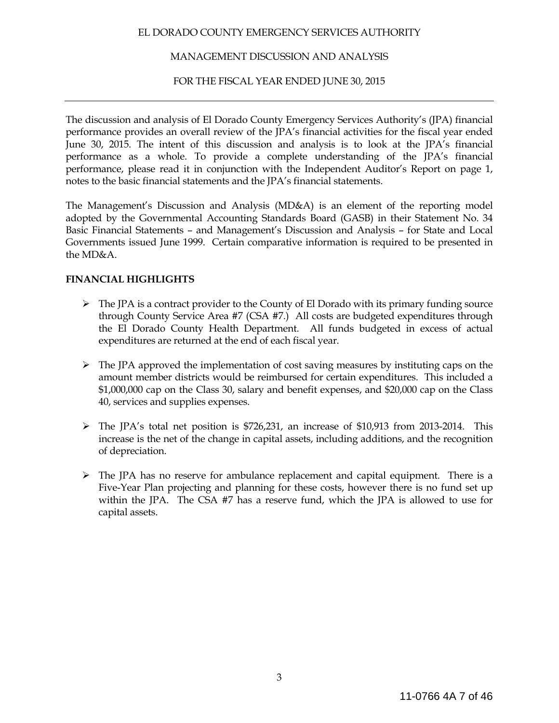### MANAGEMENT DISCUSSION AND ANALYSIS

### FOR THE FISCAL YEAR ENDED JUNE 30, 2015

The discussion and analysis of El Dorado County Emergency Services Authority's (JPA) financial performance provides an overall review of the JPA's financial activities for the fiscal year ended June 30, 2015. The intent of this discussion and analysis is to look at the JPA's financial performance as a whole. To provide a complete understanding of the JPA's financial performance, please read it in conjunction with the Independent Auditor's Report on page 1, notes to the basic financial statements and the JPA's financial statements.

The Management's Discussion and Analysis (MD&A) is an element of the reporting model adopted by the Governmental Accounting Standards Board (GASB) in their Statement No. 34 Basic Financial Statements – and Management's Discussion and Analysis – for State and Local Governments issued June 1999. Certain comparative information is required to be presented in the MD&A.

### **FINANCIAL HIGHLIGHTS**

- $\triangleright$  The JPA is a contract provider to the County of El Dorado with its primary funding source through County Service Area #7 (CSA #7.) All costs are budgeted expenditures through the El Dorado County Health Department. All funds budgeted in excess of actual expenditures are returned at the end of each fiscal year.
- $\triangleright$  The JPA approved the implementation of cost saving measures by instituting caps on the amount member districts would be reimbursed for certain expenditures. This included a \$1,000,000 cap on the Class 30, salary and benefit expenses, and \$20,000 cap on the Class 40, services and supplies expenses.
- $\triangleright$  The JPA's total net position is \$726,231, an increase of \$10,913 from 2013-2014. This increase is the net of the change in capital assets, including additions, and the recognition of depreciation.
- $\triangleright$  The JPA has no reserve for ambulance replacement and capital equipment. There is a Five-Year Plan projecting and planning for these costs, however there is no fund set up within the JPA. The CSA #7 has a reserve fund, which the JPA is allowed to use for capital assets.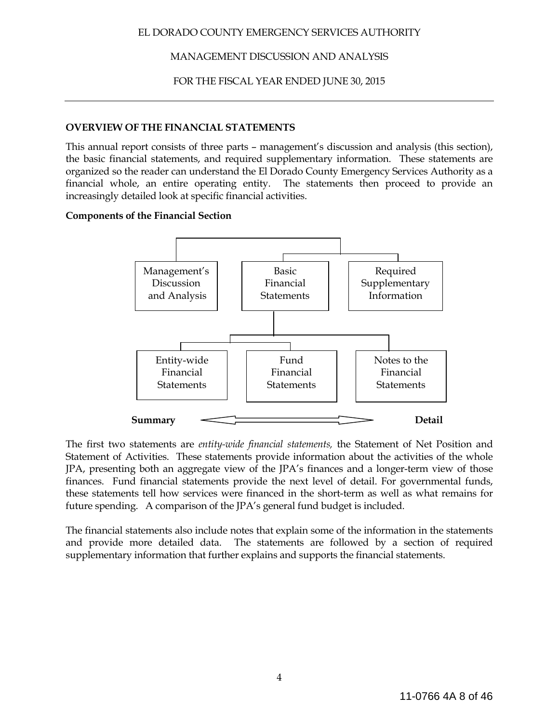### MANAGEMENT DISCUSSION AND ANALYSIS

### FOR THE FISCAL YEAR ENDED JUNE 30, 2015

#### **OVERVIEW OF THE FINANCIAL STATEMENTS**

This annual report consists of three parts – management's discussion and analysis (this section), the basic financial statements, and required supplementary information. These statements are organized so the reader can understand the El Dorado County Emergency Services Authority as a financial whole, an entire operating entity. The statements then proceed to provide an increasingly detailed look at specific financial activities.

#### **Components of the Financial Section**



The first two statements are *entity-wide financial statements,* the Statement of Net Position and Statement of Activities. These statements provide information about the activities of the whole JPA, presenting both an aggregate view of the JPA's finances and a longer-term view of those finances. Fund financial statements provide the next level of detail. For governmental funds, these statements tell how services were financed in the short-term as well as what remains for future spending. A comparison of the JPA's general fund budget is included.

The financial statements also include notes that explain some of the information in the statements and provide more detailed data. The statements are followed by a section of required supplementary information that further explains and supports the financial statements.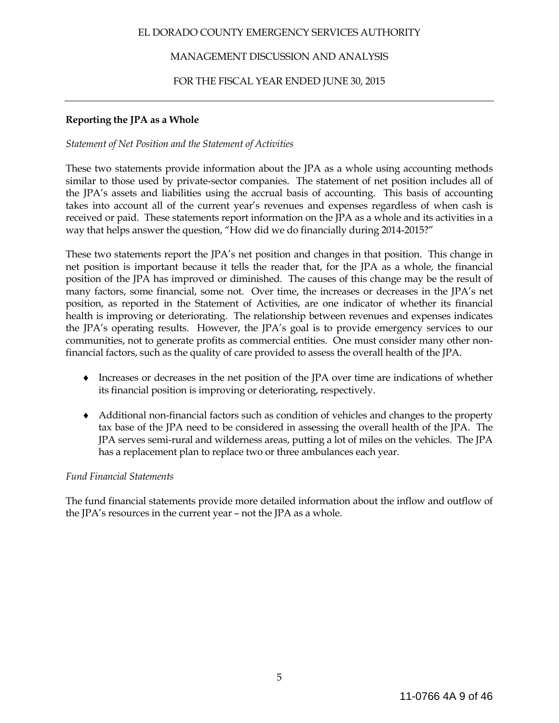### MANAGEMENT DISCUSSION AND ANALYSIS

### FOR THE FISCAL YEAR ENDED JUNE 30, 2015

### **Reporting the JPA as a Whole**

### *Statement of Net Position and the Statement of Activities*

These two statements provide information about the JPA as a whole using accounting methods similar to those used by private-sector companies. The statement of net position includes all of the JPA's assets and liabilities using the accrual basis of accounting. This basis of accounting takes into account all of the current year's revenues and expenses regardless of when cash is received or paid. These statements report information on the JPA as a whole and its activities in a way that helps answer the question, "How did we do financially during 2014-2015?"

These two statements report the JPA's net position and changes in that position. This change in net position is important because it tells the reader that, for the JPA as a whole, the financial position of the JPA has improved or diminished. The causes of this change may be the result of many factors, some financial, some not. Over time, the increases or decreases in the JPA's net position, as reported in the Statement of Activities, are one indicator of whether its financial health is improving or deteriorating. The relationship between revenues and expenses indicates the JPA's operating results. However, the JPA's goal is to provide emergency services to our communities, not to generate profits as commercial entities. One must consider many other nonfinancial factors, such as the quality of care provided to assess the overall health of the JPA.

- ♦ Increases or decreases in the net position of the JPA over time are indications of whether its financial position is improving or deteriorating, respectively.
- ♦ Additional non-financial factors such as condition of vehicles and changes to the property tax base of the JPA need to be considered in assessing the overall health of the JPA. The JPA serves semi-rural and wilderness areas, putting a lot of miles on the vehicles. The JPA has a replacement plan to replace two or three ambulances each year.

### *Fund Financial Statements*

The fund financial statements provide more detailed information about the inflow and outflow of the JPA's resources in the current year – not the JPA as a whole.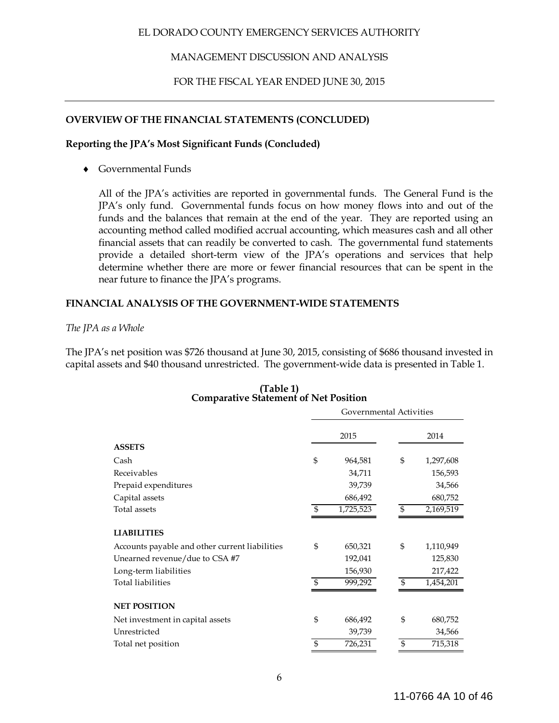### MANAGEMENT DISCUSSION AND ANALYSIS

### FOR THE FISCAL YEAR ENDED JUNE 30, 2015

### **OVERVIEW OF THE FINANCIAL STATEMENTS (CONCLUDED)**

#### **Reporting the JPA's Most Significant Funds (Concluded)**

Governmental Funds

All of the JPA's activities are reported in governmental funds. The General Fund is the JPA's only fund. Governmental funds focus on how money flows into and out of the funds and the balances that remain at the end of the year. They are reported using an accounting method called modified accrual accounting, which measures cash and all other financial assets that can readily be converted to cash. The governmental fund statements provide a detailed short-term view of the JPA's operations and services that help determine whether there are more or fewer financial resources that can be spent in the near future to finance the JPA's programs.

### **FINANCIAL ANALYSIS OF THE GOVERNMENT-WIDE STATEMENTS**

#### *The JPA as a Whole*

The JPA's net position was \$726 thousand at June 30, 2015, consisting of \$686 thousand invested in capital assets and \$40 thousand unrestricted. The government-wide data is presented in Table 1.

|                                                | Governmental Activities |           |    |           |  |
|------------------------------------------------|-------------------------|-----------|----|-----------|--|
|                                                | 2015                    |           |    | 2014      |  |
| <b>ASSETS</b>                                  |                         |           |    |           |  |
| Cash                                           | \$                      | 964,581   | \$ | 1,297,608 |  |
| Receivables                                    |                         | 34,711    |    | 156,593   |  |
| Prepaid expenditures                           |                         | 39,739    |    | 34,566    |  |
| Capital assets                                 |                         | 686,492   |    | 680,752   |  |
| Total assets                                   | S                       | 1,725,523 | \$ | 2,169,519 |  |
| <b>LIABILITIES</b>                             |                         |           |    |           |  |
| Accounts payable and other current liabilities | \$                      | 650,321   | \$ | 1,110,949 |  |
| Unearned revenue/due to CSA #7                 |                         | 192,041   |    | 125,830   |  |
| Long-term liabilities                          |                         | 156,930   |    | 217,422   |  |
| <b>Total liabilities</b>                       | $\mathfrak{L}$          | 999,292   | \$ | 1,454,201 |  |
| <b>NET POSITION</b>                            |                         |           |    |           |  |
| Net investment in capital assets               | \$                      | 686,492   | \$ | 680,752   |  |
| Unrestricted                                   |                         | 39,739    |    | 34,566    |  |
| Total net position                             | $\mathfrak{S}$          | 726,231   | \$ | 715,318   |  |

# **(Table 1) Comparative Statement of Net Position**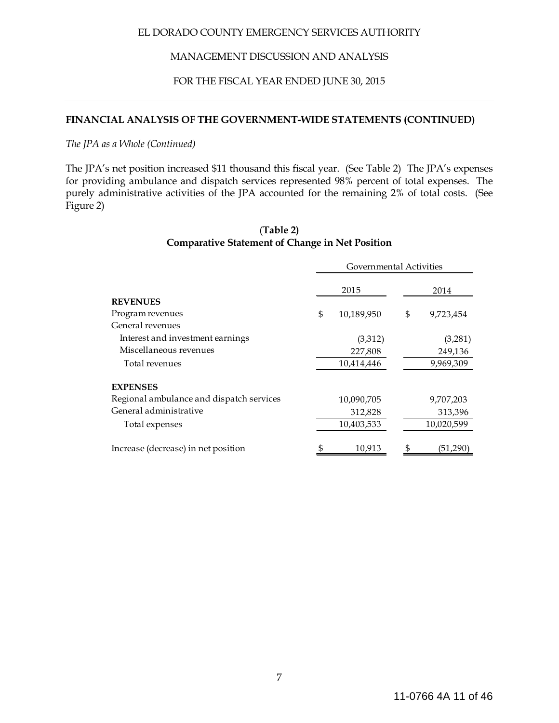### MANAGEMENT DISCUSSION AND ANALYSIS

### FOR THE FISCAL YEAR ENDED JUNE 30, 2015

### **FINANCIAL ANALYSIS OF THE GOVERNMENT-WIDE STATEMENTS (CONTINUED)**

*The JPA as a Whole (Continued)*

The JPA's net position increased \$11 thousand this fiscal year. (See Table 2) The JPA's expenses for providing ambulance and dispatch services represented 98% percent of total expenses. The purely administrative activities of the JPA accounted for the remaining 2% of total costs. (See Figure 2)

|                                          | Governmental Activities |            |      |            |  |
|------------------------------------------|-------------------------|------------|------|------------|--|
|                                          |                         | 2015       | 2014 |            |  |
| <b>REVENUES</b>                          |                         |            |      |            |  |
| Program revenues                         | \$                      | 10,189,950 | \$   | 9,723,454  |  |
| General revenues                         |                         |            |      |            |  |
| Interest and investment earnings         |                         | (3,312)    |      | (3,281)    |  |
| Miscellaneous revenues                   |                         | 249,136    |      |            |  |
| Total revenues                           |                         | 10,414,446 |      | 9,969,309  |  |
| <b>EXPENSES</b>                          |                         |            |      |            |  |
| Regional ambulance and dispatch services |                         | 10,090,705 |      | 9,707,203  |  |
| General administrative                   |                         | 312,828    |      | 313,396    |  |
| Total expenses                           |                         | 10,403,533 |      | 10,020,599 |  |
| Increase (decrease) in net position      | \$                      | 10,913     | \$   | (51,290)   |  |

### (**Table 2) Comparative Statement of Change in Net Position**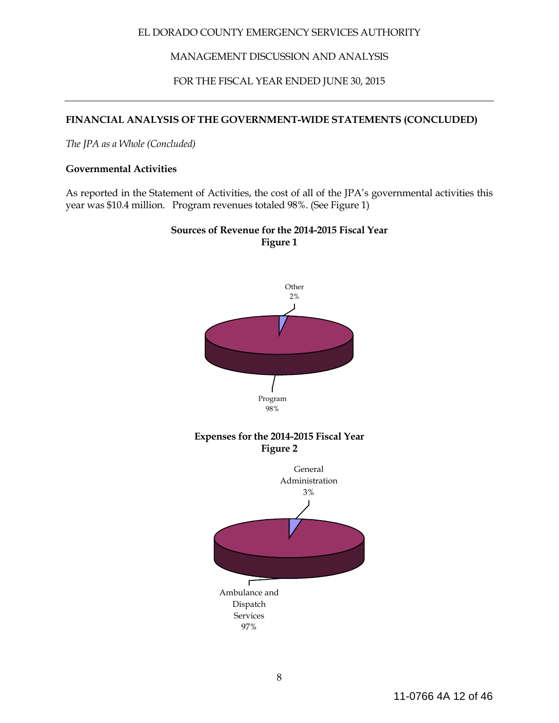MANAGEMENT DISCUSSION AND ANALYSIS

FOR THE FISCAL YEAR ENDED JUNE 30, 2015

### **FINANCIAL ANALYSIS OF THE GOVERNMENT-WIDE STATEMENTS (CONCLUDED)**

*The JPA as a Whole (Concluded)*

#### **Governmental Activities**

As reported in the Statement of Activities, the cost of all of the JPA's governmental activities this year was \$10.4 million. Program revenues totaled 98%. (See Figure 1)



# **Sources of Revenue for the 2014-2015 Fiscal Year Figure 1**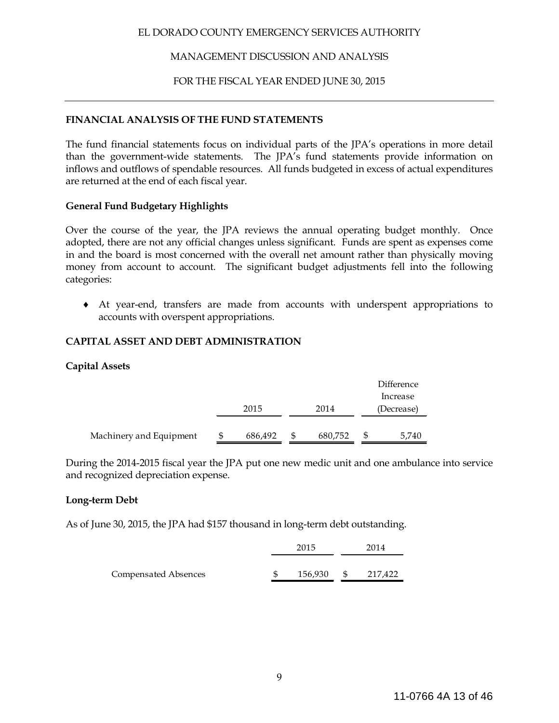### MANAGEMENT DISCUSSION AND ANALYSIS

### FOR THE FISCAL YEAR ENDED JUNE 30, 2015

### **FINANCIAL ANALYSIS OF THE FUND STATEMENTS**

The fund financial statements focus on individual parts of the JPA's operations in more detail than the government-wide statements. The JPA's fund statements provide information on inflows and outflows of spendable resources. All funds budgeted in excess of actual expenditures are returned at the end of each fiscal year.

### **General Fund Budgetary Highlights**

Over the course of the year, the JPA reviews the annual operating budget monthly. Once adopted, there are not any official changes unless significant. Funds are spent as expenses come in and the board is most concerned with the overall net amount rather than physically moving money from account to account. The significant budget adjustments fell into the following categories:

♦ At year-end, transfers are made from accounts with underspent appropriations to accounts with overspent appropriations.

### **CAPITAL ASSET AND DEBT ADMINISTRATION**

### **Capital Assets**

|                         |         |         | Difference             |
|-------------------------|---------|---------|------------------------|
|                         | 2015    | 2014    | Increase<br>(Decrease) |
| Machinery and Equipment | 686,492 | 680,752 | 5,740                  |

During the 2014-2015 fiscal year the JPA put one new medic unit and one ambulance into service and recognized depreciation expense.

### **Long-term Debt**

As of June 30, 2015, the JPA had \$157 thousand in long-term debt outstanding.

|                      | 2015    |      | 2014    |
|----------------------|---------|------|---------|
| Compensated Absences | 156,930 | - SS | 217,422 |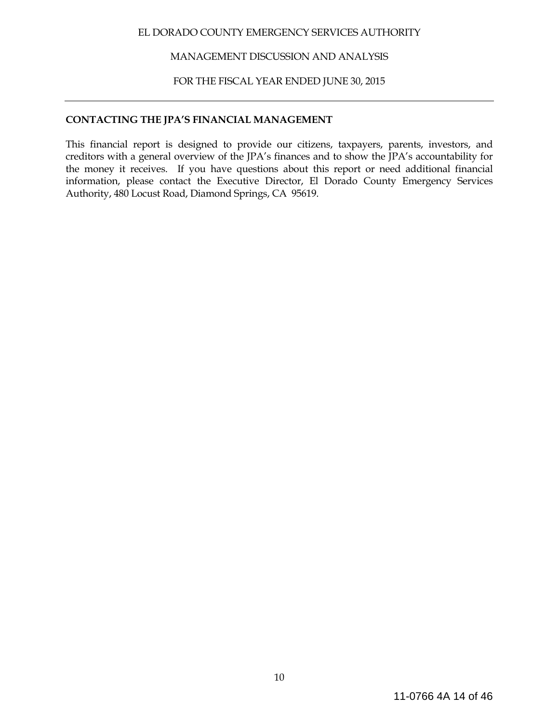MANAGEMENT DISCUSSION AND ANALYSIS

FOR THE FISCAL YEAR ENDED JUNE 30, 2015

### **CONTACTING THE JPA'S FINANCIAL MANAGEMENT**

This financial report is designed to provide our citizens, taxpayers, parents, investors, and creditors with a general overview of the JPA's finances and to show the JPA's accountability for the money it receives. If you have questions about this report or need additional financial information, please contact the Executive Director, El Dorado County Emergency Services Authority, 480 Locust Road, Diamond Springs, CA 95619.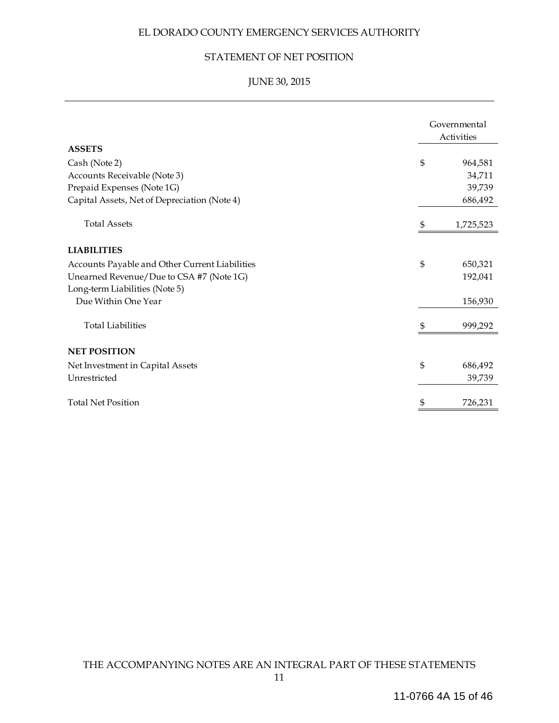### STATEMENT OF NET POSITION

# JUNE 30, 2015

| <b>ASSETS</b>                                  |    | Governmental<br>Activities |
|------------------------------------------------|----|----------------------------|
| Cash (Note 2)                                  | \$ | 964,581                    |
| Accounts Receivable (Note 3)                   |    | 34,711                     |
| Prepaid Expenses (Note 1G)                     |    | 39,739                     |
| Capital Assets, Net of Depreciation (Note 4)   |    | 686,492                    |
| <b>Total Assets</b>                            | \$ | 1,725,523                  |
| <b>LIABILITIES</b>                             |    |                            |
| Accounts Payable and Other Current Liabilities | \$ | 650,321                    |
| Unearned Revenue/Due to CSA #7 (Note 1G)       |    | 192,041                    |
| Long-term Liabilities (Note 5)                 |    |                            |
| Due Within One Year                            |    | 156,930                    |
| <b>Total Liabilities</b>                       |    | 999,292                    |
| <b>NET POSITION</b>                            |    |                            |
| Net Investment in Capital Assets               | \$ | 686,492                    |
| Unrestricted                                   |    | 39,739                     |
| <b>Total Net Position</b>                      | S  | 726,231                    |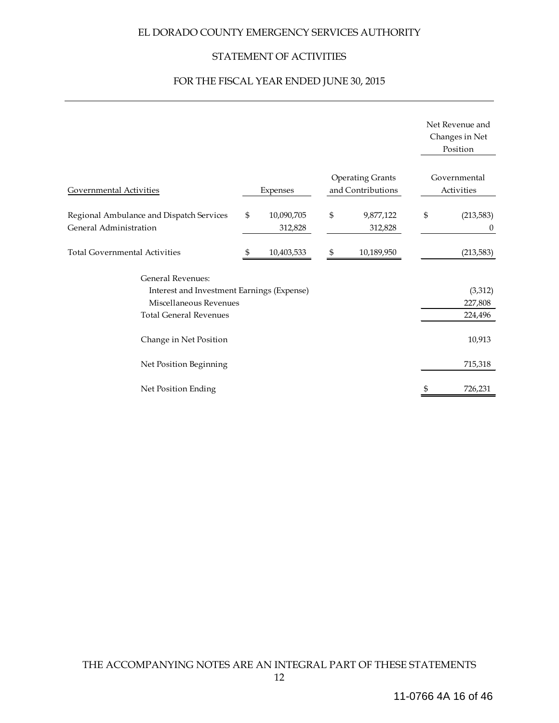### STATEMENT OF ACTIVITIES

# FOR THE FISCAL YEAR ENDED JUNE 30, 2015

|                                                                                                                                   |                             |                                              | Net Revenue and<br>Changes in Net<br>Position |
|-----------------------------------------------------------------------------------------------------------------------------------|-----------------------------|----------------------------------------------|-----------------------------------------------|
| Governmental Activities                                                                                                           | Expenses                    | <b>Operating Grants</b><br>and Contributions | Governmental<br>Activities                    |
| Regional Ambulance and Dispatch Services<br>General Administration                                                                | \$<br>10,090,705<br>312,828 | \$<br>9,877,122<br>312,828                   | \$<br>(213, 583)<br>$\theta$                  |
| <b>Total Governmental Activities</b>                                                                                              | \$<br>10,403,533            | \$<br>10,189,950                             | (213, 583)                                    |
| <b>General Revenues:</b><br>Interest and Investment Earnings (Expense)<br>Miscellaneous Revenues<br><b>Total General Revenues</b> |                             |                                              | (3,312)<br>227,808<br>224,496                 |
| Change in Net Position                                                                                                            |                             |                                              | 10,913                                        |
| Net Position Beginning                                                                                                            |                             |                                              | 715,318                                       |
| Net Position Ending                                                                                                               |                             |                                              | 726,231                                       |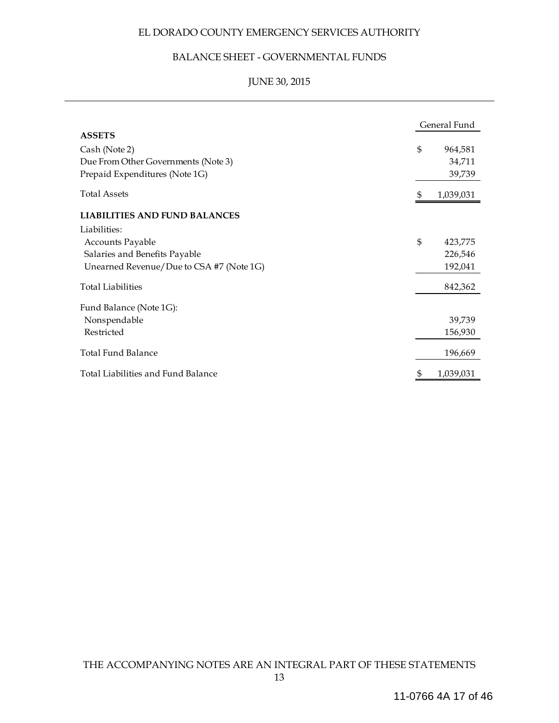### BALANCE SHEET - GOVERNMENTAL FUNDS

# JUNE 30, 2015

|                                          | General Fund   |           |  |  |
|------------------------------------------|----------------|-----------|--|--|
| <b>ASSETS</b>                            |                |           |  |  |
| Cash (Note 2)                            | $\mathfrak{S}$ | 964,581   |  |  |
| Due From Other Governments (Note 3)      |                | 34,711    |  |  |
| Prepaid Expenditures (Note 1G)           |                | 39,739    |  |  |
| <b>Total Assets</b>                      | 5              | 1,039,031 |  |  |
| <b>LIABILITIES AND FUND BALANCES</b>     |                |           |  |  |
| Liabilities:                             |                |           |  |  |
| Accounts Payable                         | $\mathfrak{S}$ | 423,775   |  |  |
| Salaries and Benefits Payable            |                | 226,546   |  |  |
| Unearned Revenue/Due to CSA #7 (Note 1G) |                | 192,041   |  |  |
| <b>Total Liabilities</b>                 |                | 842,362   |  |  |
| Fund Balance (Note 1G):                  |                |           |  |  |
| Nonspendable                             |                | 39,739    |  |  |
| Restricted                               |                | 156,930   |  |  |
| <b>Total Fund Balance</b>                |                | 196,669   |  |  |
| Total Liabilities and Fund Balance       | \$             | 1,039,031 |  |  |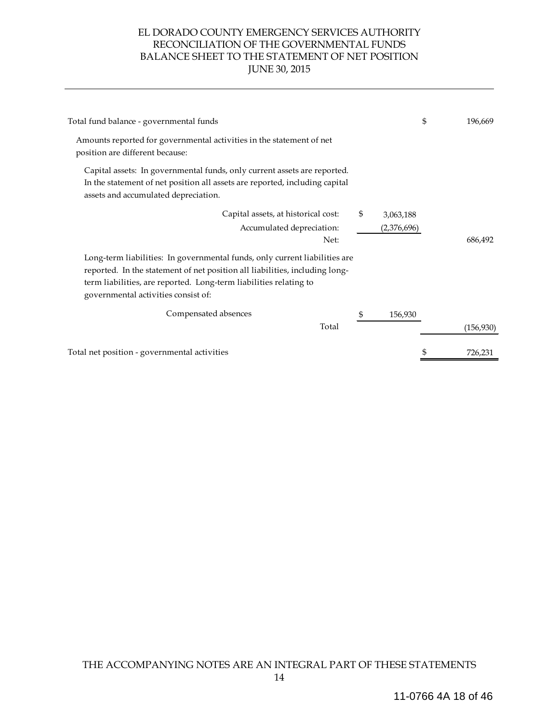### EL DORADO COUNTY EMERGENCY SERVICES AUTHORITY RECONCILIATION OF THE GOVERNMENTAL FUNDS BALANCE SHEET TO THE STATEMENT OF NET POSITION JUNE 30, 2015

| Total fund balance - governmental funds                                                                                                                                                                                                                               |                                | \$<br>196.669 |
|-----------------------------------------------------------------------------------------------------------------------------------------------------------------------------------------------------------------------------------------------------------------------|--------------------------------|---------------|
| Amounts reported for governmental activities in the statement of net<br>position are different because:                                                                                                                                                               |                                |               |
| Capital assets: In governmental funds, only current assets are reported.<br>In the statement of net position all assets are reported, including capital<br>assets and accumulated depreciation.                                                                       |                                |               |
| Capital assets, at historical cost:<br>Accumulated depreciation:<br>Net:                                                                                                                                                                                              | \$<br>3,063,188<br>(2,376,696) | 686,492       |
| Long-term liabilities: In governmental funds, only current liabilities are<br>reported. In the statement of net position all liabilities, including long-<br>term liabilities, are reported. Long-term liabilities relating to<br>governmental activities consist of: |                                |               |
| Compensated absences<br>Total                                                                                                                                                                                                                                         | \$<br>156,930                  | (156,930)     |
| Total net position - governmental activities                                                                                                                                                                                                                          |                                | 726,231       |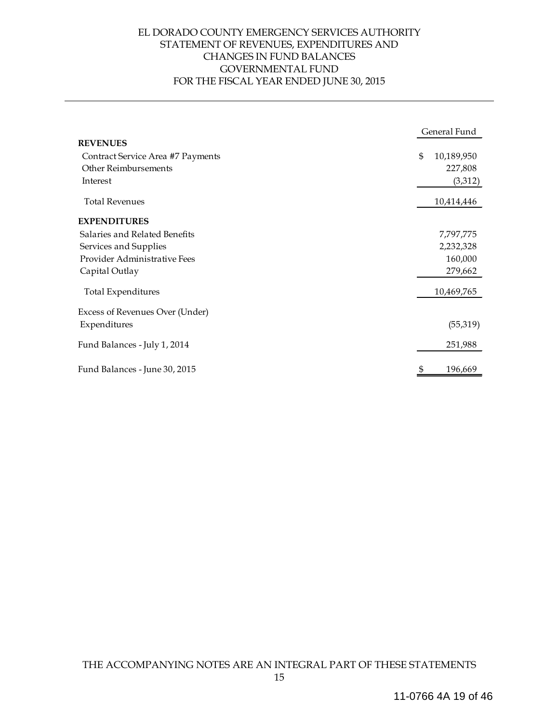### EL DORADO COUNTY EMERGENCY SERVICES AUTHORITY STATEMENT OF REVENUES, EXPENDITURES AND CHANGES IN FUND BALANCES GOVERNMENTAL FUND FOR THE FISCAL YEAR ENDED JUNE 30, 2015

|                                   |                | General Fund |
|-----------------------------------|----------------|--------------|
| <b>REVENUES</b>                   |                |              |
| Contract Service Area #7 Payments | $\mathfrak{S}$ | 10,189,950   |
| <b>Other Reimbursements</b>       |                | 227,808      |
| Interest                          |                | (3,312)      |
| <b>Total Revenues</b>             |                | 10,414,446   |
| <b>EXPENDITURES</b>               |                |              |
| Salaries and Related Benefits     |                | 7,797,775    |
| Services and Supplies             |                | 2,232,328    |
| Provider Administrative Fees      |                | 160,000      |
| Capital Outlay                    |                | 279,662      |
| Total Expenditures                |                | 10,469,765   |
| Excess of Revenues Over (Under)   |                |              |
| Expenditures                      |                | (55,319)     |
| Fund Balances - July 1, 2014      |                | 251,988      |
| Fund Balances - June 30, 2015     |                | 196,669      |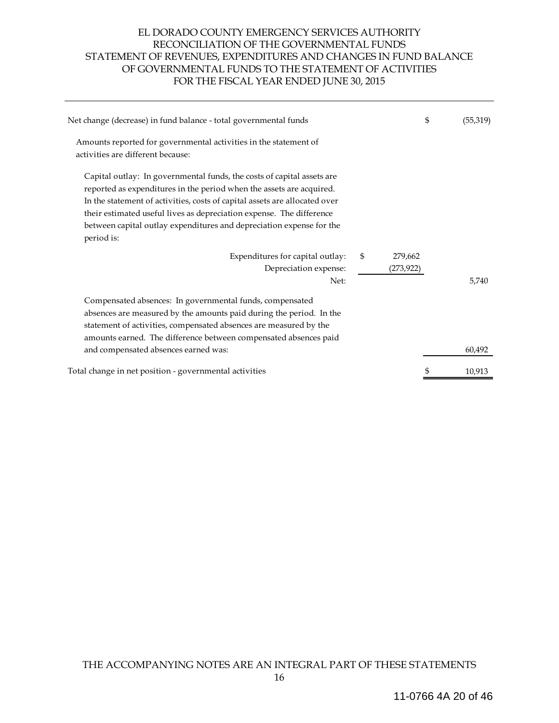### EL DORADO COUNTY EMERGENCY SERVICES AUTHORITY RECONCILIATION OF THE GOVERNMENTAL FUNDS STATEMENT OF REVENUES, EXPENDITURES AND CHANGES IN FUND BALANCE OF GOVERNMENTAL FUNDS TO THE STATEMENT OF ACTIVITIES FOR THE FISCAL YEAR ENDED JUNE 30, 2015

| Net change (decrease) in fund balance - total governmental funds                                                                                                                                                                                                                                                                                                                           |                             | \$<br>(55, 319) |
|--------------------------------------------------------------------------------------------------------------------------------------------------------------------------------------------------------------------------------------------------------------------------------------------------------------------------------------------------------------------------------------------|-----------------------------|-----------------|
| Amounts reported for governmental activities in the statement of<br>activities are different because:                                                                                                                                                                                                                                                                                      |                             |                 |
| Capital outlay: In governmental funds, the costs of capital assets are<br>reported as expenditures in the period when the assets are acquired.<br>In the statement of activities, costs of capital assets are allocated over<br>their estimated useful lives as depreciation expense. The difference<br>between capital outlay expenditures and depreciation expense for the<br>period is: |                             |                 |
| Expenditures for capital outlay:<br>Depreciation expense:<br>Net:                                                                                                                                                                                                                                                                                                                          | \$<br>279,662<br>(273, 922) | 5,740           |
| Compensated absences: In governmental funds, compensated<br>absences are measured by the amounts paid during the period. In the<br>statement of activities, compensated absences are measured by the<br>amounts earned. The difference between compensated absences paid                                                                                                                   |                             |                 |
| and compensated absences earned was:                                                                                                                                                                                                                                                                                                                                                       |                             | 60,492          |
| Total change in net position - governmental activities                                                                                                                                                                                                                                                                                                                                     |                             | 10,913          |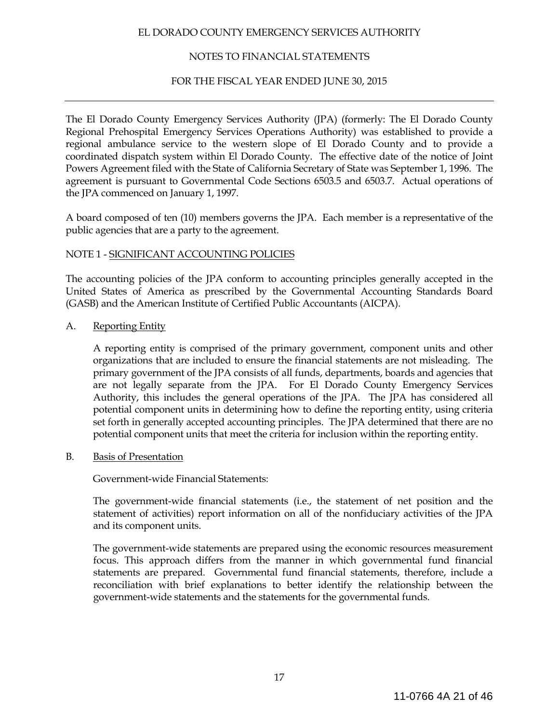### NOTES TO FINANCIAL STATEMENTS

### FOR THE FISCAL YEAR ENDED JUNE 30, 2015

The El Dorado County Emergency Services Authority (JPA) (formerly: The El Dorado County Regional Prehospital Emergency Services Operations Authority) was established to provide a regional ambulance service to the western slope of El Dorado County and to provide a coordinated dispatch system within El Dorado County. The effective date of the notice of Joint Powers Agreement filed with the State of California Secretary of State was September 1, 1996. The agreement is pursuant to Governmental Code Sections 6503.5 and 6503.7. Actual operations of the JPA commenced on January 1, 1997.

A board composed of ten (10) members governs the JPA. Each member is a representative of the public agencies that are a party to the agreement.

### NOTE 1 - SIGNIFICANT ACCOUNTING POLICIES

The accounting policies of the JPA conform to accounting principles generally accepted in the United States of America as prescribed by the Governmental Accounting Standards Board (GASB) and the American Institute of Certified Public Accountants (AICPA).

A. Reporting Entity

A reporting entity is comprised of the primary government, component units and other organizations that are included to ensure the financial statements are not misleading. The primary government of the JPA consists of all funds, departments, boards and agencies that are not legally separate from the JPA. For El Dorado County Emergency Services Authority, this includes the general operations of the JPA. The JPA has considered all potential component units in determining how to define the reporting entity, using criteria set forth in generally accepted accounting principles. The JPA determined that there are no potential component units that meet the criteria for inclusion within the reporting entity.

B. Basis of Presentation

Government-wide Financial Statements:

The government-wide financial statements (i.e., the statement of net position and the statement of activities) report information on all of the nonfiduciary activities of the JPA and its component units.

The government-wide statements are prepared using the economic resources measurement focus. This approach differs from the manner in which governmental fund financial statements are prepared. Governmental fund financial statements, therefore, include a reconciliation with brief explanations to better identify the relationship between the government-wide statements and the statements for the governmental funds.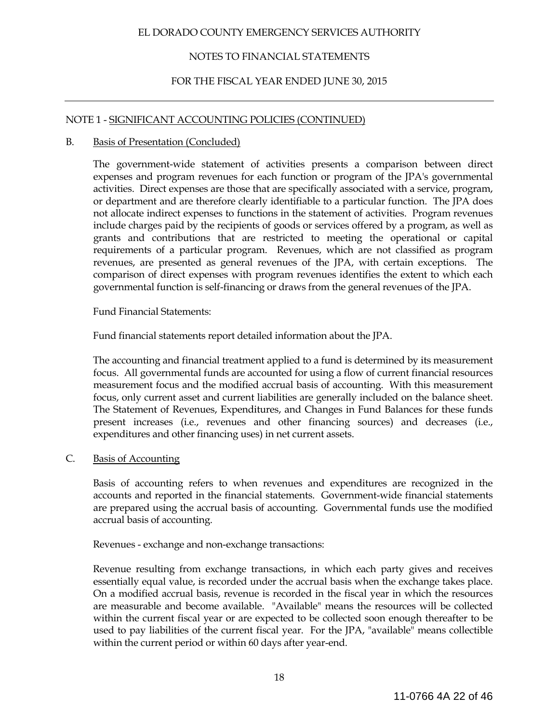### NOTES TO FINANCIAL STATEMENTS

### FOR THE FISCAL YEAR ENDED JUNE 30, 2015

### NOTE 1 - SIGNIFICANT ACCOUNTING POLICIES (CONTINUED)

#### B. Basis of Presentation (Concluded)

The government-wide statement of activities presents a comparison between direct expenses and program revenues for each function or program of the JPA's governmental activities. Direct expenses are those that are specifically associated with a service, program, or department and are therefore clearly identifiable to a particular function. The JPA does not allocate indirect expenses to functions in the statement of activities. Program revenues include charges paid by the recipients of goods or services offered by a program, as well as grants and contributions that are restricted to meeting the operational or capital requirements of a particular program. Revenues, which are not classified as program revenues, are presented as general revenues of the JPA, with certain exceptions. The comparison of direct expenses with program revenues identifies the extent to which each governmental function is self-financing or draws from the general revenues of the JPA.

### Fund Financial Statements:

Fund financial statements report detailed information about the JPA.

The accounting and financial treatment applied to a fund is determined by its measurement focus. All governmental funds are accounted for using a flow of current financial resources measurement focus and the modified accrual basis of accounting. With this measurement focus, only current asset and current liabilities are generally included on the balance sheet. The Statement of Revenues, Expenditures, and Changes in Fund Balances for these funds present increases (i.e., revenues and other financing sources) and decreases (i.e., expenditures and other financing uses) in net current assets.

### C. Basis of Accounting

Basis of accounting refers to when revenues and expenditures are recognized in the accounts and reported in the financial statements. Government-wide financial statements are prepared using the accrual basis of accounting. Governmental funds use the modified accrual basis of accounting.

Revenues - exchange and non-exchange transactions:

Revenue resulting from exchange transactions, in which each party gives and receives essentially equal value, is recorded under the accrual basis when the exchange takes place. On a modified accrual basis, revenue is recorded in the fiscal year in which the resources are measurable and become available. "Available" means the resources will be collected within the current fiscal year or are expected to be collected soon enough thereafter to be used to pay liabilities of the current fiscal year. For the JPA, "available" means collectible within the current period or within 60 days after year-end.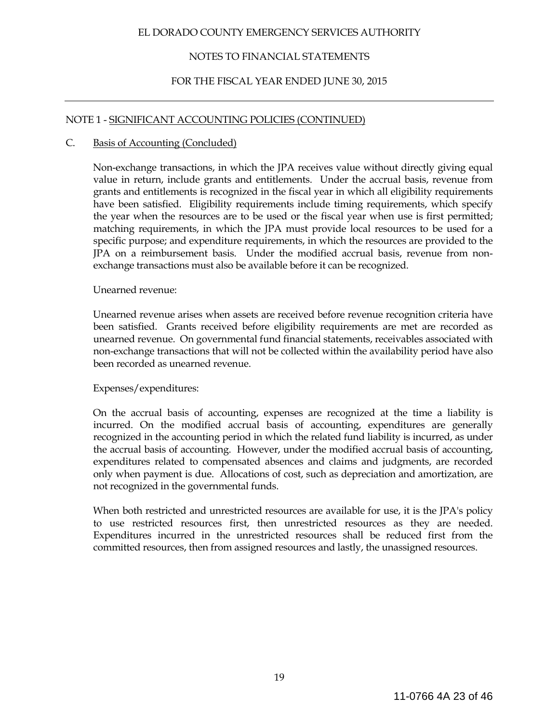### NOTES TO FINANCIAL STATEMENTS

### FOR THE FISCAL YEAR ENDED JUNE 30, 2015

### NOTE 1 - SIGNIFICANT ACCOUNTING POLICIES (CONTINUED)

#### C. Basis of Accounting (Concluded)

Non-exchange transactions, in which the JPA receives value without directly giving equal value in return, include grants and entitlements. Under the accrual basis, revenue from grants and entitlements is recognized in the fiscal year in which all eligibility requirements have been satisfied. Eligibility requirements include timing requirements, which specify the year when the resources are to be used or the fiscal year when use is first permitted; matching requirements, in which the JPA must provide local resources to be used for a specific purpose; and expenditure requirements, in which the resources are provided to the JPA on a reimbursement basis. Under the modified accrual basis, revenue from nonexchange transactions must also be available before it can be recognized.

#### Unearned revenue:

Unearned revenue arises when assets are received before revenue recognition criteria have been satisfied. Grants received before eligibility requirements are met are recorded as unearned revenue. On governmental fund financial statements, receivables associated with non-exchange transactions that will not be collected within the availability period have also been recorded as unearned revenue.

### Expenses/expenditures:

On the accrual basis of accounting, expenses are recognized at the time a liability is incurred. On the modified accrual basis of accounting, expenditures are generally recognized in the accounting period in which the related fund liability is incurred, as under the accrual basis of accounting. However, under the modified accrual basis of accounting, expenditures related to compensated absences and claims and judgments, are recorded only when payment is due. Allocations of cost, such as depreciation and amortization, are not recognized in the governmental funds.

When both restricted and unrestricted resources are available for use, it is the JPA's policy to use restricted resources first, then unrestricted resources as they are needed. Expenditures incurred in the unrestricted resources shall be reduced first from the committed resources, then from assigned resources and lastly, the unassigned resources.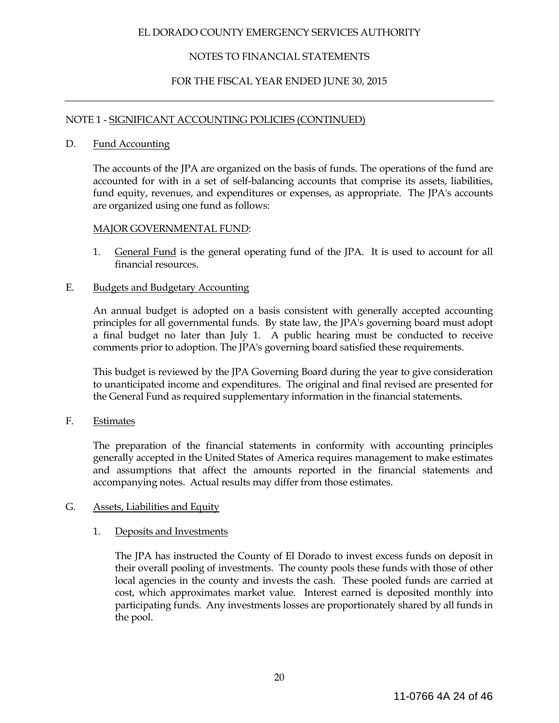### NOTES TO FINANCIAL STATEMENTS

### FOR THE FISCAL YEAR ENDED JUNE 30, 2015

### NOTE 1 - SIGNIFICANT ACCOUNTING POLICIES (CONTINUED)

### D. Fund Accounting

The accounts of the JPA are organized on the basis of funds. The operations of the fund are accounted for with in a set of self-balancing accounts that comprise its assets, liabilities, fund equity, revenues, and expenditures or expenses, as appropriate. The JPA's accounts are organized using one fund as follows:

### MAJOR GOVERNMENTAL FUND:

1. General Fund is the general operating fund of the JPA. It is used to account for all financial resources.

### E. Budgets and Budgetary Accounting

An annual budget is adopted on a basis consistent with generally accepted accounting principles for all governmental funds. By state law, the JPA's governing board must adopt a final budget no later than July 1. A public hearing must be conducted to receive comments prior to adoption. The JPA's governing board satisfied these requirements.

This budget is reviewed by the JPA Governing Board during the year to give consideration to unanticipated income and expenditures. The original and final revised are presented for the General Fund as required supplementary information in the financial statements.

F. Estimates

The preparation of the financial statements in conformity with accounting principles generally accepted in the United States of America requires management to make estimates and assumptions that affect the amounts reported in the financial statements and accompanying notes. Actual results may differ from those estimates.

### G. Assets, Liabilities and Equity

### 1. Deposits and Investments

 The JPA has instructed the County of El Dorado to invest excess funds on deposit in their overall pooling of investments. The county pools these funds with those of other local agencies in the county and invests the cash. These pooled funds are carried at cost, which approximates market value. Interest earned is deposited monthly into participating funds. Any investments losses are proportionately shared by all funds in the pool.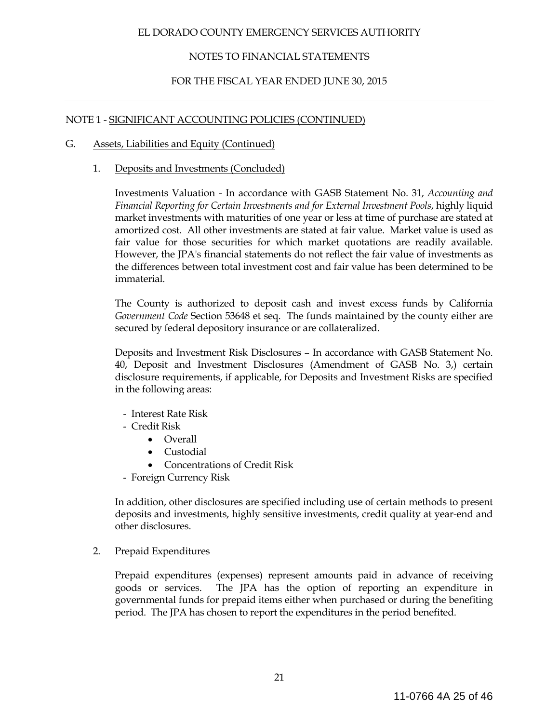### NOTES TO FINANCIAL STATEMENTS

### FOR THE FISCAL YEAR ENDED JUNE 30, 2015

### NOTE 1 - SIGNIFICANT ACCOUNTING POLICIES (CONTINUED)

#### G. Assets, Liabilities and Equity (Continued)

#### 1. Deposits and Investments (Concluded)

Investments Valuation - In accordance with GASB Statement No. 31, *Accounting and Financial Reporting for Certain Investments and for External Investment Pools*, highly liquid market investments with maturities of one year or less at time of purchase are stated at amortized cost. All other investments are stated at fair value. Market value is used as fair value for those securities for which market quotations are readily available. However, the JPA's financial statements do not reflect the fair value of investments as the differences between total investment cost and fair value has been determined to be immaterial.

 The County is authorized to deposit cash and invest excess funds by California *Government Code* Section 53648 et seq. The funds maintained by the county either are secured by federal depository insurance or are collateralized.

 Deposits and Investment Risk Disclosures – In accordance with GASB Statement No. 40, Deposit and Investment Disclosures (Amendment of GASB No. 3,) certain disclosure requirements, if applicable, for Deposits and Investment Risks are specified in the following areas:

- Interest Rate Risk
- Credit Risk
	- Overall
	- Custodial
	- Concentrations of Credit Risk
- Foreign Currency Risk

In addition, other disclosures are specified including use of certain methods to present deposits and investments, highly sensitive investments, credit quality at year-end and other disclosures.

### 2. Prepaid Expenditures

 Prepaid expenditures (expenses) represent amounts paid in advance of receiving goods or services. The JPA has the option of reporting an expenditure in governmental funds for prepaid items either when purchased or during the benefiting period. The JPA has chosen to report the expenditures in the period benefited.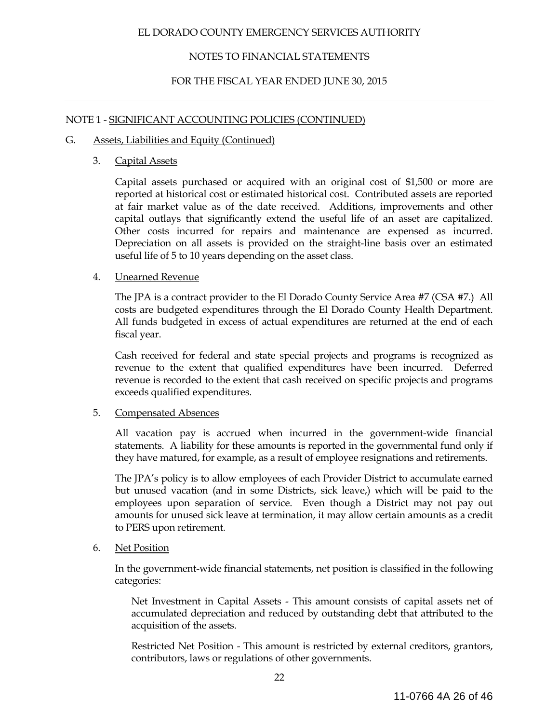### NOTES TO FINANCIAL STATEMENTS

### FOR THE FISCAL YEAR ENDED JUNE 30, 2015

### NOTE 1 - SIGNIFICANT ACCOUNTING POLICIES (CONTINUED)

#### G. Assets, Liabilities and Equity (Continued)

#### 3. Capital Assets

Capital assets purchased or acquired with an original cost of \$1,500 or more are reported at historical cost or estimated historical cost. Contributed assets are reported at fair market value as of the date received. Additions, improvements and other capital outlays that significantly extend the useful life of an asset are capitalized. Other costs incurred for repairs and maintenance are expensed as incurred. Depreciation on all assets is provided on the straight-line basis over an estimated useful life of 5 to 10 years depending on the asset class.

### 4. Unearned Revenue

 The JPA is a contract provider to the El Dorado County Service Area #7 (CSA #7.) All costs are budgeted expenditures through the El Dorado County Health Department. All funds budgeted in excess of actual expenditures are returned at the end of each fiscal year.

 Cash received for federal and state special projects and programs is recognized as revenue to the extent that qualified expenditures have been incurred. Deferred revenue is recorded to the extent that cash received on specific projects and programs exceeds qualified expenditures.

### 5. Compensated Absences

 All vacation pay is accrued when incurred in the government-wide financial statements. A liability for these amounts is reported in the governmental fund only if they have matured, for example, as a result of employee resignations and retirements.

 The JPA's policy is to allow employees of each Provider District to accumulate earned but unused vacation (and in some Districts, sick leave,) which will be paid to the employees upon separation of service. Even though a District may not pay out amounts for unused sick leave at termination, it may allow certain amounts as a credit to PERS upon retirement.

### 6. Net Position

 In the government-wide financial statements, net position is classified in the following categories:

 Net Investment in Capital Assets - This amount consists of capital assets net of accumulated depreciation and reduced by outstanding debt that attributed to the acquisition of the assets.

 Restricted Net Position - This amount is restricted by external creditors, grantors, contributors, laws or regulations of other governments.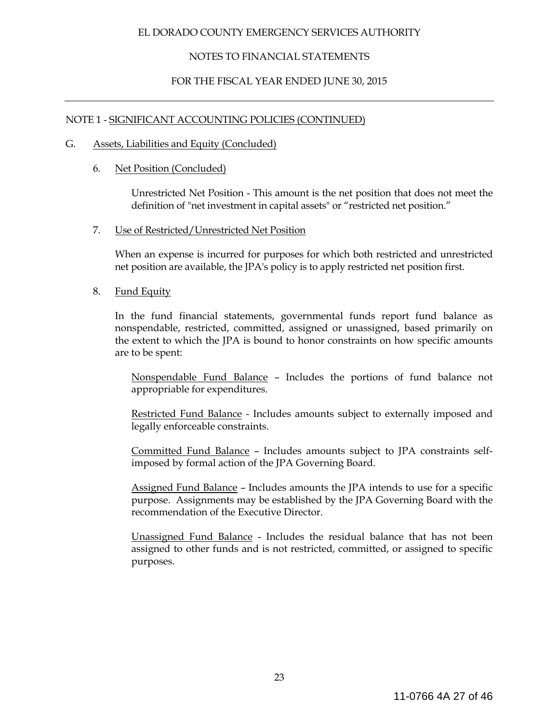### NOTES TO FINANCIAL STATEMENTS

### FOR THE FISCAL YEAR ENDED JUNE 30, 2015

### NOTE 1 - SIGNIFICANT ACCOUNTING POLICIES (CONTINUED)

#### G. Assets, Liabilities and Equity (Concluded)

### 6. Net Position (Concluded)

 Unrestricted Net Position - This amount is the net position that does not meet the definition of "net investment in capital assets" or "restricted net position."

7. Use of Restricted/Unrestricted Net Position

 When an expense is incurred for purposes for which both restricted and unrestricted net position are available, the JPA's policy is to apply restricted net position first.

### 8. Fund Equity

 In the fund financial statements, governmental funds report fund balance as nonspendable, restricted, committed, assigned or unassigned, based primarily on the extent to which the JPA is bound to honor constraints on how specific amounts are to be spent:

Nonspendable Fund Balance – Includes the portions of fund balance not appropriable for expenditures.

 Restricted Fund Balance - Includes amounts subject to externally imposed and legally enforceable constraints.

 Committed Fund Balance – Includes amounts subject to JPA constraints selfimposed by formal action of the JPA Governing Board.

 Assigned Fund Balance – Includes amounts the JPA intends to use for a specific purpose. Assignments may be established by the JPA Governing Board with the recommendation of the Executive Director.

 Unassigned Fund Balance - Includes the residual balance that has not been assigned to other funds and is not restricted, committed, or assigned to specific purposes.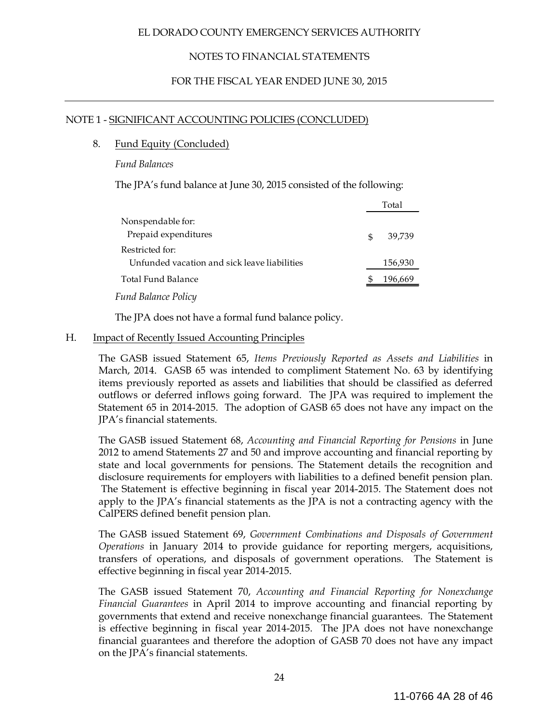### NOTES TO FINANCIAL STATEMENTS

### FOR THE FISCAL YEAR ENDED JUNE 30, 2015

#### NOTE 1 - SIGNIFICANT ACCOUNTING POLICIES (CONCLUDED)

#### 8. Fund Equity (Concluded)

*Fund Balances*

The JPA's fund balance at June 30, 2015 consisted of the following:

|                                              |     | Total   |
|----------------------------------------------|-----|---------|
| Nonspendable for:                            |     |         |
| Prepaid expenditures                         | \$. | 39.739  |
| Restricted for:                              |     |         |
| Unfunded vacation and sick leave liabilities |     | 156,930 |
| Total Fund Balance                           |     | 196,669 |
| <b>Fund Balance Policy</b>                   |     |         |

The JPA does not have a formal fund balance policy.

#### H. Impact of Recently Issued Accounting Principles

The GASB issued Statement 65, *Items Previously Reported as Assets and Liabilities* in March, 2014. GASB 65 was intended to compliment Statement No. 63 by identifying items previously reported as assets and liabilities that should be classified as deferred outflows or deferred inflows going forward. The JPA was required to implement the Statement 65 in 2014-2015. The adoption of GASB 65 does not have any impact on the JPA's financial statements.

The GASB issued Statement 68, *Accounting and Financial Reporting for Pensions* in June 2012 to amend Statements 27 and 50 and improve accounting and financial reporting by state and local governments for pensions. The Statement details the recognition and disclosure requirements for employers with liabilities to a defined benefit pension plan. The Statement is effective beginning in fiscal year 2014-2015. The Statement does not apply to the JPA's financial statements as the JPA is not a contracting agency with the CalPERS defined benefit pension plan.

The GASB issued Statement 69, *Government Combinations and Disposals of Government Operations* in January 2014 to provide guidance for reporting mergers, acquisitions, transfers of operations, and disposals of government operations. The Statement is effective beginning in fiscal year 2014-2015.

The GASB issued Statement 70, *Accounting and Financial Reporting for Nonexchange Financial Guarantees* in April 2014 to improve accounting and financial reporting by governments that extend and receive nonexchange financial guarantees. The Statement is effective beginning in fiscal year 2014-2015. The JPA does not have nonexchange financial guarantees and therefore the adoption of GASB 70 does not have any impact on the JPA's financial statements.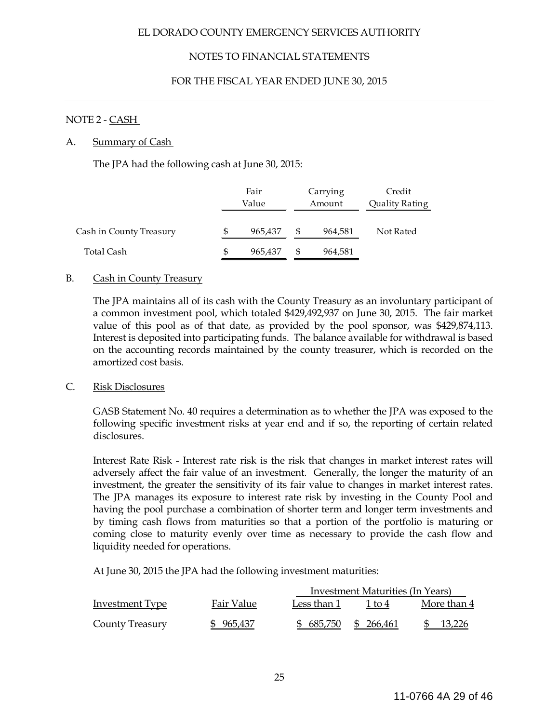### NOTES TO FINANCIAL STATEMENTS

### FOR THE FISCAL YEAR ENDED JUNE 30, 2015

### NOTE 2 - CASH

#### A. Summary of Cash

The JPA had the following cash at June 30, 2015:

|                         | Fair          |    | Carrying | Credit         |
|-------------------------|---------------|----|----------|----------------|
|                         | Value         |    | Amount   | Quality Rating |
| Cash in County Treasury | \$<br>965,437 | -S | 964,581  | Not Rated      |
| Total Cash              | \$<br>965,437 | S  | 964,581  |                |

### B. Cash in County Treasury

The JPA maintains all of its cash with the County Treasury as an involuntary participant of a common investment pool, which totaled \$429,492,937 on June 30, 2015. The fair market value of this pool as of that date, as provided by the pool sponsor, was \$429,874,113. Interest is deposited into participating funds. The balance available for withdrawal is based on the accounting records maintained by the county treasurer, which is recorded on the amortized cost basis.

#### C. Risk Disclosures

GASB Statement No. 40 requires a determination as to whether the JPA was exposed to the following specific investment risks at year end and if so, the reporting of certain related disclosures.

Interest Rate Risk - Interest rate risk is the risk that changes in market interest rates will adversely affect the fair value of an investment. Generally, the longer the maturity of an investment, the greater the sensitivity of its fair value to changes in market interest rates. The JPA manages its exposure to interest rate risk by investing in the County Pool and having the pool purchase a combination of shorter term and longer term investments and by timing cash flows from maturities so that a portion of the portfolio is maturing or coming close to maturity evenly over time as necessary to provide the cash flow and liquidity needed for operations.

At June 30, 2015 the JPA had the following investment maturities:

|                        |            | Investment Maturities (In Years) |            |             |  |  |  |  |
|------------------------|------------|----------------------------------|------------|-------------|--|--|--|--|
| Investment Type        | Fair Value | Less than 1                      | 1 to 4     | More than 4 |  |  |  |  |
| <b>County Treasury</b> | \$965,437  | \$ 685,750                       | \$ 266,461 | 13,226      |  |  |  |  |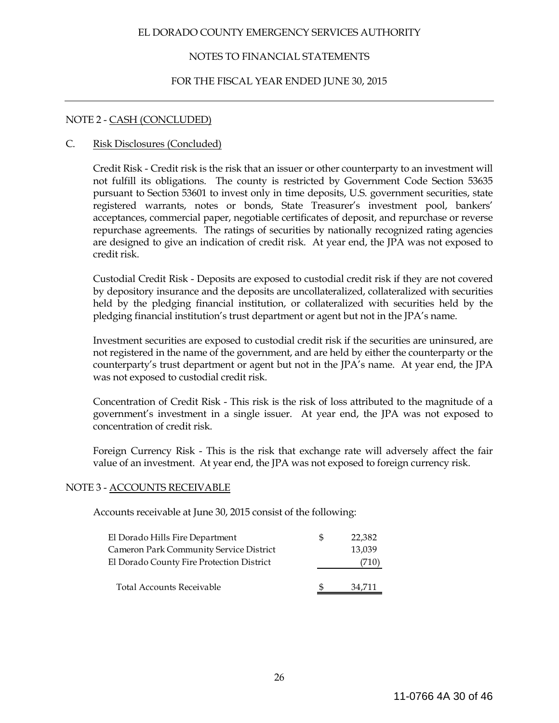### NOTES TO FINANCIAL STATEMENTS

#### FOR THE FISCAL YEAR ENDED JUNE 30, 2015

#### NOTE 2 - CASH (CONCLUDED)

#### C. Risk Disclosures (Concluded)

Credit Risk - Credit risk is the risk that an issuer or other counterparty to an investment will not fulfill its obligations. The county is restricted by Government Code Section 53635 pursuant to Section 53601 to invest only in time deposits, U.S. government securities, state registered warrants, notes or bonds, State Treasurer's investment pool, bankers' acceptances, commercial paper, negotiable certificates of deposit, and repurchase or reverse repurchase agreements. The ratings of securities by nationally recognized rating agencies are designed to give an indication of credit risk. At year end, the JPA was not exposed to credit risk.

Custodial Credit Risk - Deposits are exposed to custodial credit risk if they are not covered by depository insurance and the deposits are uncollateralized, collateralized with securities held by the pledging financial institution, or collateralized with securities held by the pledging financial institution's trust department or agent but not in the JPA's name.

Investment securities are exposed to custodial credit risk if the securities are uninsured, are not registered in the name of the government, and are held by either the counterparty or the counterparty's trust department or agent but not in the JPA's name. At year end, the JPA was not exposed to custodial credit risk.

Concentration of Credit Risk - This risk is the risk of loss attributed to the magnitude of a government's investment in a single issuer. At year end, the JPA was not exposed to concentration of credit risk.

Foreign Currency Risk - This is the risk that exchange rate will adversely affect the fair value of an investment. At year end, the JPA was not exposed to foreign currency risk.

#### NOTE 3 - ACCOUNTS RECEIVABLE

Accounts receivable at June 30, 2015 consist of the following:

| El Dorado Hills Fire Department                | Ъ | 22,382 |
|------------------------------------------------|---|--------|
| <b>Cameron Park Community Service District</b> |   | 13,039 |
| El Dorado County Fire Protection District      |   | (710   |
|                                                |   |        |
| <b>Total Accounts Receivable</b>               |   | 34,711 |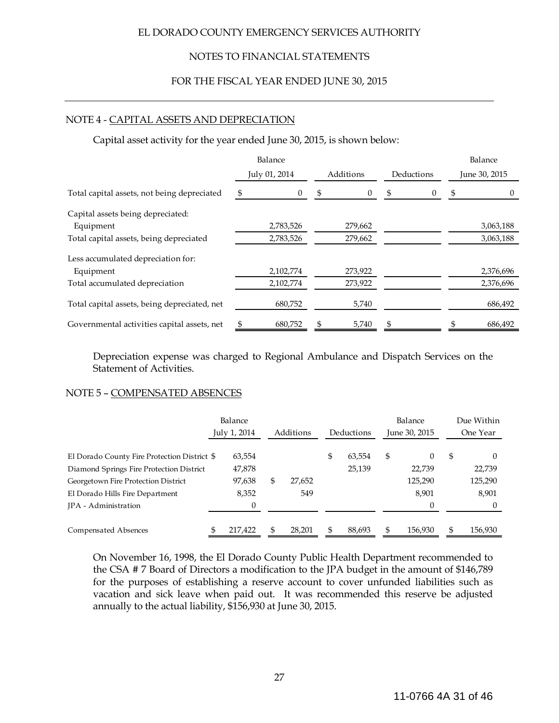### NOTES TO FINANCIAL STATEMENTS

#### FOR THE FISCAL YEAR ENDED JUNE 30, 2015

#### NOTE 4 - CAPITAL ASSETS AND DEPRECIATION

Capital asset activity for the year ended June 30, 2015, is shown below:

|                                              | Balance         |                 |                | Balance         |  |
|----------------------------------------------|-----------------|-----------------|----------------|-----------------|--|
|                                              | July 01, 2014   | Additions       | Deductions     | June 30, 2015   |  |
| Total capital assets, not being depreciated  | -\$<br>$\theta$ | -\$<br>$\theta$ | \$<br>$\theta$ | -\$<br>$\theta$ |  |
| Capital assets being depreciated:            |                 |                 |                |                 |  |
| Equipment                                    | 2,783,526       | 279,662         |                | 3,063,188       |  |
| Total capital assets, being depreciated      | 2,783,526       | 279,662         |                | 3,063,188       |  |
| Less accumulated depreciation for:           |                 |                 |                |                 |  |
| Equipment                                    | 2,102,774       | 273,922         |                | 2,376,696       |  |
| Total accumulated depreciation               | 2,102,774       | 273,922         |                | 2,376,696       |  |
| Total capital assets, being depreciated, net | 680,752         | 5,740           |                | 686,492         |  |
| Governmental activities capital assets, net  | 680,752<br>\$   | 5,740<br>\$     | S              | \$<br>686,492   |  |

Depreciation expense was charged to Regional Ambulance and Dispatch Services on the Statement of Activities.

#### NOTE 5 – COMPENSATED ABSENCES

|                                              |  | Balance<br>July 1, 2014 |   | Additions | Deductions   | Balance<br>June 30, 2015 |         | Due Within<br>One Year |         |
|----------------------------------------------|--|-------------------------|---|-----------|--------------|--------------------------|---------|------------------------|---------|
| El Dorado County Fire Protection District \$ |  | 63,554                  |   |           | \$<br>63.554 | \$                       | 0       | \$                     |         |
| Diamond Springs Fire Protection District     |  | 47,878                  |   |           | 25,139       |                          | 22.739  |                        | 22,739  |
| Georgetown Fire Protection District          |  | 97,638                  | S | 27,652    |              |                          | 125,290 |                        | 125,290 |
| El Dorado Hills Fire Department              |  | 8,352                   |   | 549       |              |                          | 8,901   |                        | 8,901   |
| <b>IPA</b> - Administration                  |  | 0                       |   |           |              |                          | 0       |                        |         |
| Compensated Absences                         |  | 217,422                 |   | 28,201    | 88,693       |                          | 156,930 | \$                     | 156,930 |

On November 16, 1998, the El Dorado County Public Health Department recommended to the CSA # 7 Board of Directors a modification to the JPA budget in the amount of \$146,789 for the purposes of establishing a reserve account to cover unfunded liabilities such as vacation and sick leave when paid out. It was recommended this reserve be adjusted annually to the actual liability, \$156,930 at June 30, 2015.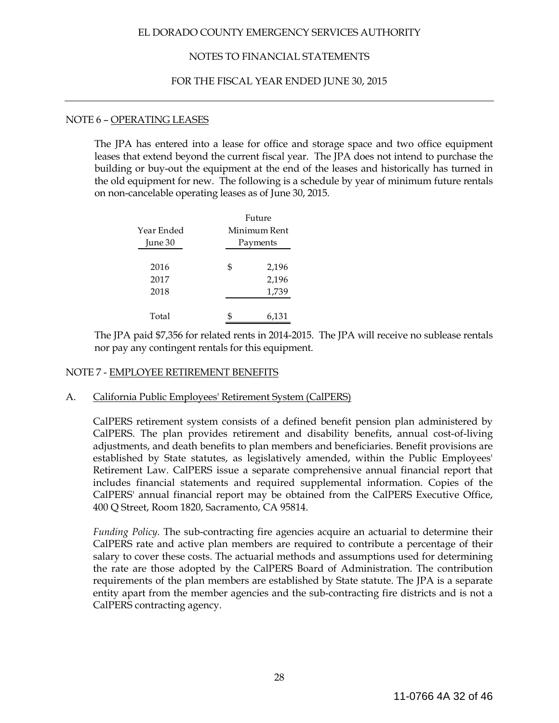### NOTES TO FINANCIAL STATEMENTS

#### FOR THE FISCAL YEAR ENDED JUNE 30, 2015

#### NOTE 6 – OPERATING LEASES

The JPA has entered into a lease for office and storage space and two office equipment leases that extend beyond the current fiscal year. The JPA does not intend to purchase the building or buy-out the equipment at the end of the leases and historically has turned in the old equipment for new. The following is a schedule by year of minimum future rentals on non-cancelable operating leases as of June 30, 2015.

|            | Future       |
|------------|--------------|
| Year Ended | Minimum Rent |
| June 30    | Payments     |
|            |              |
| 2016       | \$<br>2,196  |
| 2017       | 2,196        |
| 2018       | 1,739        |
|            |              |
| Total      | 6,131        |

The JPA paid \$7,356 for related rents in 2014-2015. The JPA will receive no sublease rentals nor pay any contingent rentals for this equipment.

#### NOTE 7 - EMPLOYEE RETIREMENT BENEFITS

#### A. California Public Employees' Retirement System (CalPERS)

CalPERS retirement system consists of a defined benefit pension plan administered by CalPERS. The plan provides retirement and disability benefits, annual cost-of-living adjustments, and death benefits to plan members and beneficiaries. Benefit provisions are established by State statutes, as legislatively amended, within the Public Employees' Retirement Law. CalPERS issue a separate comprehensive annual financial report that includes financial statements and required supplemental information. Copies of the CalPERS' annual financial report may be obtained from the CalPERS Executive Office, 400 Q Street, Room 1820, Sacramento, CA 95814.

*Funding Policy.* The sub-contracting fire agencies acquire an actuarial to determine their CalPERS rate and active plan members are required to contribute a percentage of their salary to cover these costs. The actuarial methods and assumptions used for determining the rate are those adopted by the CalPERS Board of Administration. The contribution requirements of the plan members are established by State statute. The JPA is a separate entity apart from the member agencies and the sub-contracting fire districts and is not a CalPERS contracting agency.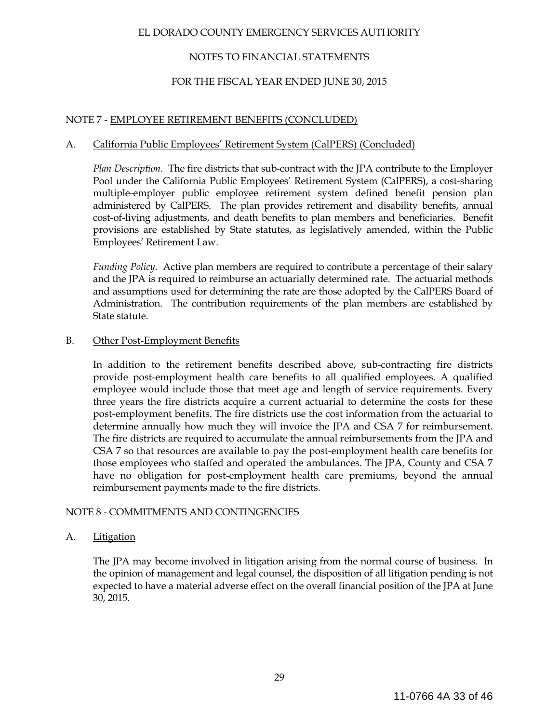### NOTES TO FINANCIAL STATEMENTS

### FOR THE FISCAL YEAR ENDED JUNE 30, 2015

### NOTE 7 - EMPLOYEE RETIREMENT BENEFITS (CONCLUDED)

### A. California Public Employees' Retirement System (CalPERS) (Concluded)

 *Plan Description*. The fire districts that sub-contract with the JPA contribute to the Employer Pool under the California Public Employees' Retirement System (CalPERS), a cost-sharing multiple-employer public employee retirement system defined benefit pension plan administered by CalPERS. The plan provides retirement and disability benefits, annual cost-of-living adjustments, and death benefits to plan members and beneficiaries. Benefit provisions are established by State statutes, as legislatively amended, within the Public Employees' Retirement Law.

*Funding Policy*. Active plan members are required to contribute a percentage of their salary and the JPA is required to reimburse an actuarially determined rate. The actuarial methods and assumptions used for determining the rate are those adopted by the CalPERS Board of Administration. The contribution requirements of the plan members are established by State statute.

#### B. Other Post-Employment Benefits

 In addition to the retirement benefits described above, sub-contracting fire districts provide post-employment health care benefits to all qualified employees. A qualified employee would include those that meet age and length of service requirements. Every three years the fire districts acquire a current actuarial to determine the costs for these post-employment benefits. The fire districts use the cost information from the actuarial to determine annually how much they will invoice the JPA and CSA 7 for reimbursement. The fire districts are required to accumulate the annual reimbursements from the JPA and CSA 7 so that resources are available to pay the post-employment health care benefits for those employees who staffed and operated the ambulances. The JPA, County and CSA 7 have no obligation for post-employment health care premiums, beyond the annual reimbursement payments made to the fire districts.

### NOTE 8 - COMMITMENTS AND CONTINGENCIES

### A. Litigation

 The JPA may become involved in litigation arising from the normal course of business. In the opinion of management and legal counsel, the disposition of all litigation pending is not expected to have a material adverse effect on the overall financial position of the JPA at June 30, 2015.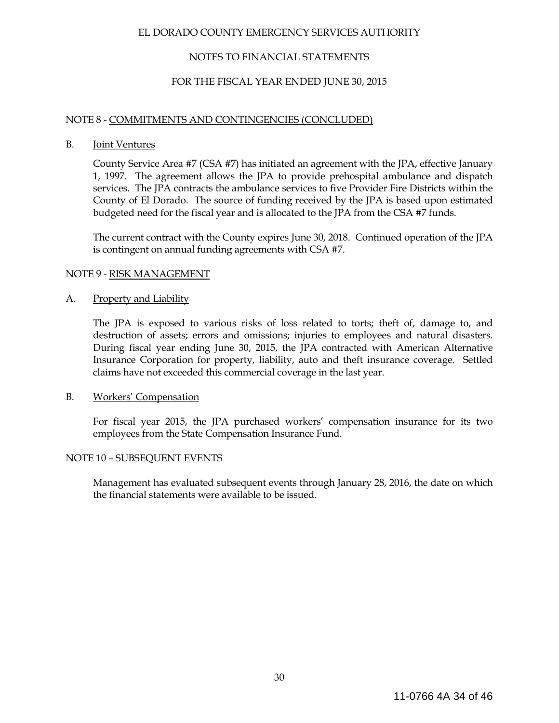### NOTES TO FINANCIAL STATEMENTS

### FOR THE FISCAL YEAR ENDED JUNE 30, 2015

#### NOTE 8 - COMMITMENTS AND CONTINGENCIES (CONCLUDED)

#### B. Joint Ventures

 County Service Area #7 (CSA #7) has initiated an agreement with the JPA, effective January 1, 1997. The agreement allows the JPA to provide prehospital ambulance and dispatch services. The JPA contracts the ambulance services to five Provider Fire Districts within the County of El Dorado. The source of funding received by the JPA is based upon estimated budgeted need for the fiscal year and is allocated to the JPA from the CSA #7 funds.

 The current contract with the County expires June 30, 2018. Continued operation of the JPA is contingent on annual funding agreements with CSA #7.

### NOTE 9 - RISK MANAGEMENT

#### A. Property and Liability

 The JPA is exposed to various risks of loss related to torts; theft of, damage to, and destruction of assets; errors and omissions; injuries to employees and natural disasters. During fiscal year ending June 30, 2015, the JPA contracted with American Alternative Insurance Corporation for property, liability, auto and theft insurance coverage. Settled claims have not exceeded this commercial coverage in the last year.

### B. Workers' Compensation

 For fiscal year 2015, the JPA purchased workers' compensation insurance for its two employees from the State Compensation Insurance Fund.

### NOTE 10 – SUBSEQUENT EVENTS

Management has evaluated subsequent events through January 28, 2016, the date on which the financial statements were available to be issued.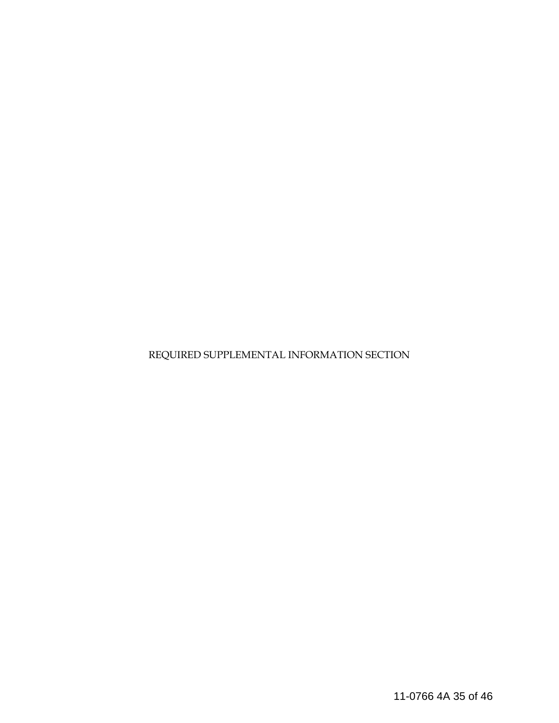REQUIRED SUPPLEMENTAL INFORMATION SECTION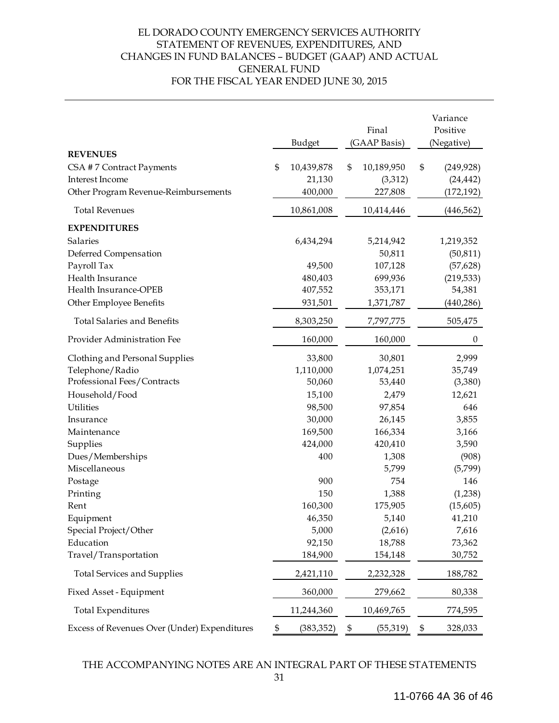### EL DORADO COUNTY EMERGENCY SERVICES AUTHORITY STATEMENT OF REVENUES, EXPENDITURES, AND CHANGES IN FUND BALANCES – BUDGET (GAAP) AND ACTUAL GENERAL FUND FOR THE FISCAL YEAR ENDED JUNE 30, 2015

|                                              | Budget           |                | Final<br>(GAAP Basis) | Variance<br>Positive<br>(Negative) |
|----------------------------------------------|------------------|----------------|-----------------------|------------------------------------|
| <b>REVENUES</b>                              |                  |                |                       |                                    |
| CSA #7 Contract Payments                     | \$<br>10,439,878 | $\mathfrak{S}$ | 10,189,950            | \$<br>(249, 928)                   |
| Interest Income                              | 21,130           |                | (3,312)               | (24, 442)                          |
| Other Program Revenue-Reimbursements         | 400,000          |                | 227,808               | (172, 192)                         |
| <b>Total Revenues</b>                        | 10,861,008       |                | 10,414,446            | (446, 562)                         |
| <b>EXPENDITURES</b>                          |                  |                |                       |                                    |
| Salaries                                     | 6,434,294        |                | 5,214,942             | 1,219,352                          |
| Deferred Compensation                        |                  |                | 50,811                | (50, 811)                          |
| Payroll Tax                                  | 49,500           |                | 107,128               | (57, 628)                          |
| Health Insurance                             | 480,403          |                | 699,936               | (219, 533)                         |
| Health Insurance-OPEB                        | 407,552          |                | 353,171               | 54,381                             |
| Other Employee Benefits                      | 931,501          |                | 1,371,787             | (440, 286)                         |
| <b>Total Salaries and Benefits</b>           | 8,303,250        |                | 7,797,775             | 505,475                            |
| Provider Administration Fee                  | 160,000          |                | 160,000               | $\boldsymbol{0}$                   |
| Clothing and Personal Supplies               | 33,800           |                | 30,801                | 2,999                              |
| Telephone/Radio                              | 1,110,000        |                | 1,074,251             | 35,749                             |
| Professional Fees/Contracts                  | 50,060           |                | 53,440                | (3,380)                            |
| Household/Food                               | 15,100           |                | 2,479                 | 12,621                             |
| <b>Utilities</b>                             | 98,500           |                | 97,854                | 646                                |
| Insurance                                    | 30,000           |                | 26,145                | 3,855                              |
| Maintenance                                  | 169,500          |                | 166,334               | 3,166                              |
| Supplies                                     | 424,000          |                | 420,410               | 3,590                              |
| Dues/Memberships                             | 400              |                | 1,308                 | (908)                              |
| Miscellaneous                                |                  |                | 5,799                 | (5,799)                            |
| Postage                                      | 900              |                | 754                   | 146                                |
| Printing                                     | 150              |                | 1,388                 | (1,238)                            |
| Rent                                         | 160,300          |                | 175,905               | (15,605)                           |
| Equipment                                    | 46,350           |                | 5,140                 | 41,210                             |
| Special Project/Other                        | 5,000            |                | (2,616)               | 7,616                              |
| Education                                    | 92,150           |                | 18,788                | 73,362                             |
| Travel/Transportation                        | 184,900          |                | 154,148               | 30,752                             |
| <b>Total Services and Supplies</b>           | 2,421,110        |                | 2,232,328             | 188,782                            |
| Fixed Asset - Equipment                      | 360,000          |                | 279,662               | 80,338                             |
| <b>Total Expenditures</b>                    | 11,244,360       |                | 10,469,765            | 774,595                            |
| Excess of Revenues Over (Under) Expenditures | \$<br>(383, 352) | \$             | (55, 319)             | \$<br>328,033                      |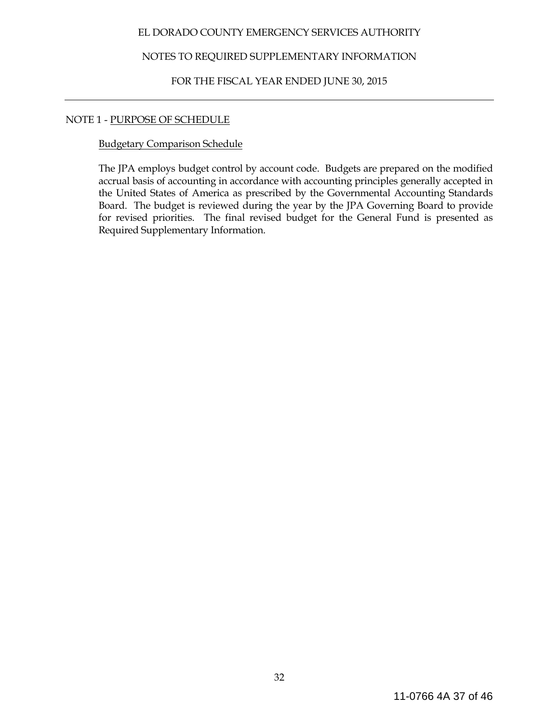### NOTES TO REQUIRED SUPPLEMENTARY INFORMATION

### FOR THE FISCAL YEAR ENDED JUNE 30, 2015

### NOTE 1 - PURPOSE OF SCHEDULE

### Budgetary Comparison Schedule

The JPA employs budget control by account code. Budgets are prepared on the modified accrual basis of accounting in accordance with accounting principles generally accepted in the United States of America as prescribed by the Governmental Accounting Standards Board. The budget is reviewed during the year by the JPA Governing Board to provide for revised priorities. The final revised budget for the General Fund is presented as Required Supplementary Information.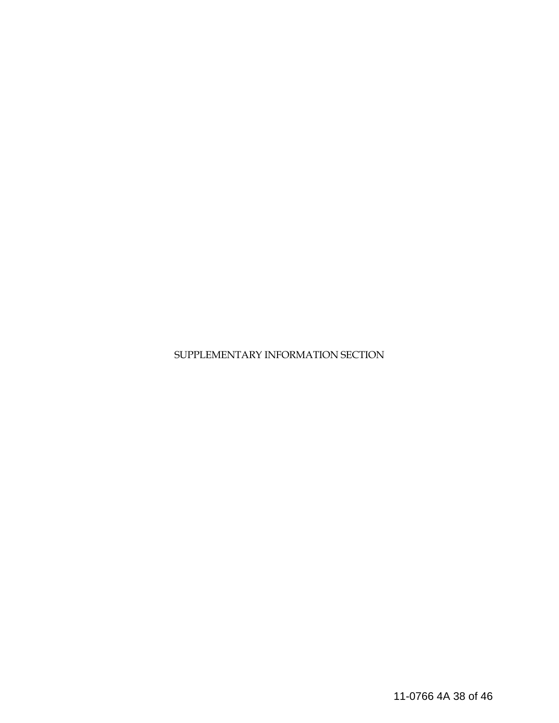SUPPLEMENTARY INFORMATION SECTION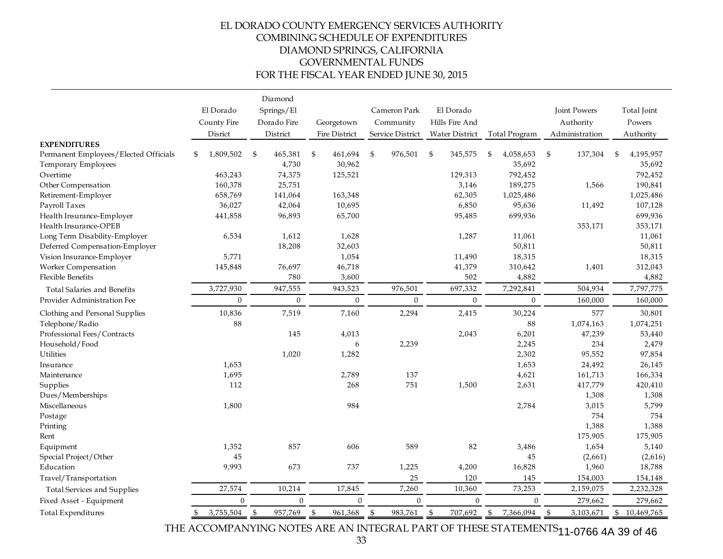### EL DORADO COUNTY EMERGENCY SERVICES AUTHORITY COMBINING SCHEDULE OF EXPENDITURES DIAMOND SPRINGS, CALIFORNIA GOVERNMENTAL FUNDS FOR THE FISCAL YEAR ENDED JUNE 30, 2015

|                                                              | Diamond                  |                           |                      |                           |                             |                  |                                  |                       |  |
|--------------------------------------------------------------|--------------------------|---------------------------|----------------------|---------------------------|-----------------------------|------------------|----------------------------------|-----------------------|--|
|                                                              | El Dorado<br>County Fire | Springs/El<br>Dorado Fire | Georgetown           | Cameron Park<br>Community | El Dorado<br>Hills Fire And |                  | <b>Joint Powers</b><br>Authority | Total Joint<br>Powers |  |
|                                                              | Disrict                  | District                  | <b>Fire District</b> | Service District          | Water District              | Total Program    | Administration                   | Authority             |  |
| <b>EXPENDITURES</b><br>Permanent Employees/Elected Officials | 1,809,502<br>\$          | \$<br>465,381             | 461,694<br>-\$       | $\mathfrak{s}$<br>976,501 | -\$<br>345,575              | 4,058,653<br>\$  | \$<br>137,304                    | 4,195,957<br>\$       |  |
| Temporary Employees                                          |                          | 4,730                     | 30,962               |                           |                             | 35,692           |                                  | 35,692                |  |
| Overtime                                                     | 463,243                  | 74,375                    | 125,521              |                           | 129,313                     | 792,452          |                                  | 792,452               |  |
| Other Compensation                                           | 160,378                  | 25,751                    |                      |                           | 3,146                       | 189,275          | 1,566                            | 190,841               |  |
| Retirement-Employer                                          | 658,769                  | 141,064                   | 163,348              |                           | 62,305                      | 1,025,486        |                                  | 1,025,486             |  |
| Payroll Taxes                                                | 36,027                   | 42,064                    | 10,695               |                           | 6,850                       | 95,636           | 11,492                           | 107,128               |  |
| Health Insurance-Employer                                    | 441,858                  | 96,893                    | 65,700               |                           | 95,485                      | 699,936          |                                  | 699,936               |  |
| Health Insurance-OPEB                                        |                          |                           |                      |                           |                             |                  | 353,171                          | 353,171               |  |
| Long Term Disability-Employer                                | 6,534                    | 1,612                     | 1,628                |                           | 1,287                       | 11,061           |                                  | 11,061                |  |
| Deferred Compensation-Employer                               |                          | 18,208                    | 32,603               |                           |                             | 50,811           |                                  | 50,811                |  |
| Vision Insurance-Employer                                    | 5,771                    |                           | 1,054                |                           | 11,490                      | 18,315           |                                  | 18,315                |  |
| Worker Compensation                                          | 145,848                  | 76,697                    | 46,718               |                           | 41,379                      | 310,642          | 1,401                            | 312,043               |  |
| <b>Flexible Benefits</b>                                     |                          | 780                       | 3,600                |                           | 502                         | 4,882            |                                  | 4,882                 |  |
| <b>Total Salaries and Benefits</b>                           | 3,727,930                | 947,555                   | 943,523              | 976,501                   | 697,332                     | 7,292,841        | 504,934                          | 7,797,775             |  |
| Provider Administration Fee                                  | $\mathbf{0}$             | $\mathbf{0}$              | $\mathbf{0}$         | $\mathbf{0}$              | $\overline{0}$              | $\theta$         | 160,000                          | 160,000               |  |
| Clothing and Personal Supplies                               | 10,836                   | 7,519                     | 7,160                | 2,294                     | 2,415                       | 30,224           | 577                              | 30,801                |  |
| Telephone/Radio                                              | 88                       |                           |                      |                           |                             | 88               | 1,074,163                        | 1,074,251             |  |
| Professional Fees/Contracts                                  |                          | 145                       | 4,013                |                           | 2,043                       | 6,201            | 47,239                           | 53,440                |  |
| Household/Food                                               |                          |                           | 6                    | 2,239                     |                             | 2,245            | 234                              | 2,479                 |  |
| Utilities                                                    |                          | 1,020                     | 1,282                |                           |                             | 2,302            | 95,552                           | 97,854                |  |
| Insurance                                                    | 1,653                    |                           |                      |                           |                             | 1,653            | 24,492                           | 26,145                |  |
| Maintenance                                                  | 1,695                    |                           | 2,789                | 137                       |                             | 4,621            | 161,713                          | 166,334               |  |
| Supplies                                                     | 112                      |                           | 268                  | 751                       | 1,500                       | 2,631            | 417,779                          | 420,410               |  |
| Dues/Memberships                                             |                          |                           |                      |                           |                             |                  | 1,308                            | 1,308                 |  |
| Miscellaneous                                                | 1,800                    |                           | 984                  |                           |                             | 2,784            | 3,015                            | 5,799                 |  |
| Postage                                                      |                          |                           |                      |                           |                             |                  | 754                              | 754                   |  |
| Printing                                                     |                          |                           |                      |                           |                             |                  | 1,388                            | 1,388                 |  |
| Rent                                                         |                          |                           |                      |                           |                             |                  | 175,905                          | 175,905               |  |
| Equipment                                                    | 1,352                    | 857                       | 606                  | 589                       | 82                          | 3,486            | 1,654                            | 5,140                 |  |
| Special Project/Other                                        | 45                       |                           |                      |                           |                             | 45               | (2,661)                          | (2,616)               |  |
| Education                                                    | 9,993                    | 673                       | 737                  | 1,225                     | 4,200                       | 16,828           | 1,960                            | 18,788                |  |
| Travel/Transportation                                        |                          |                           |                      | 25                        | 120                         | 145              | 154,003                          | 154,148               |  |
| <b>Total Services and Supplies</b>                           | 27,574                   | 10,214                    | 17,845               | 7,260                     | 10,360                      | 73,253           | 2,159,075                        | 2,232,328             |  |
| Fixed Asset - Equipment                                      | $\boldsymbol{0}$         | $\boldsymbol{0}$          | $\overline{0}$       | $\mathbf{0}$              | $\boldsymbol{0}$            | $\boldsymbol{0}$ | 279,662                          | 279,662               |  |
| Total Expenditures                                           | 3,755,504<br>\$.         | \$<br>957,769             | \$<br>961,368        | \$<br>983,761             | \$<br>707,692               | \$<br>7,366,094  | \$<br>3,103,671                  | \$10,469,765          |  |

THE ACCOMPANYING NOTES ARE AN INTEGRAL PART OF THESE STATEMENTS 11-0766 4A 39 of 46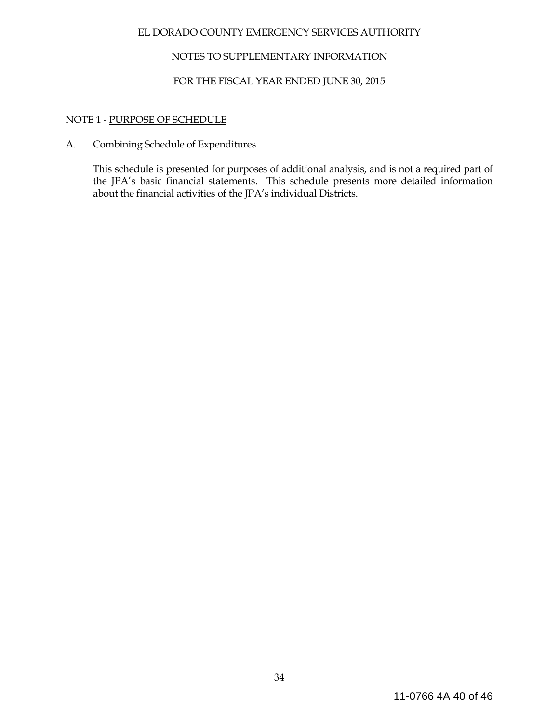# NOTES TO SUPPLEMENTARY INFORMATION

# FOR THE FISCAL YEAR ENDED JUNE 30, 2015

### NOTE 1 - PURPOSE OF SCHEDULE

# A. Combining Schedule of Expenditures

This schedule is presented for purposes of additional analysis, and is not a required part of the JPA's basic financial statements. This schedule presents more detailed information about the financial activities of the JPA's individual Districts.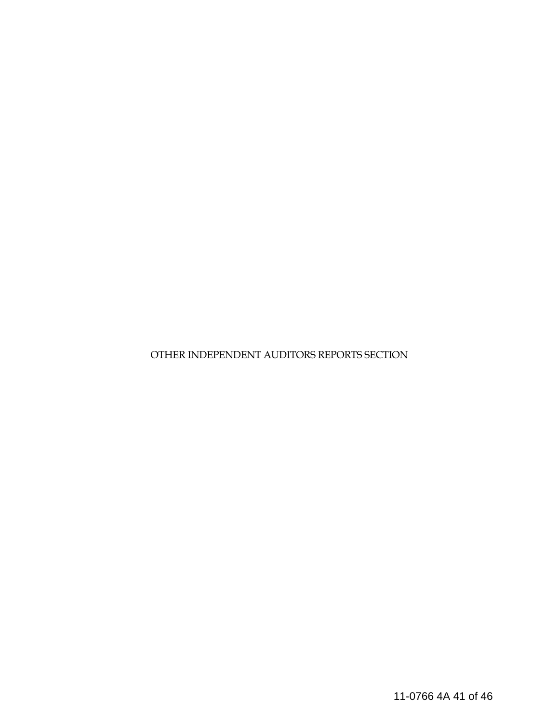OTHER INDEPENDENT AUDITORS REPORTS SECTION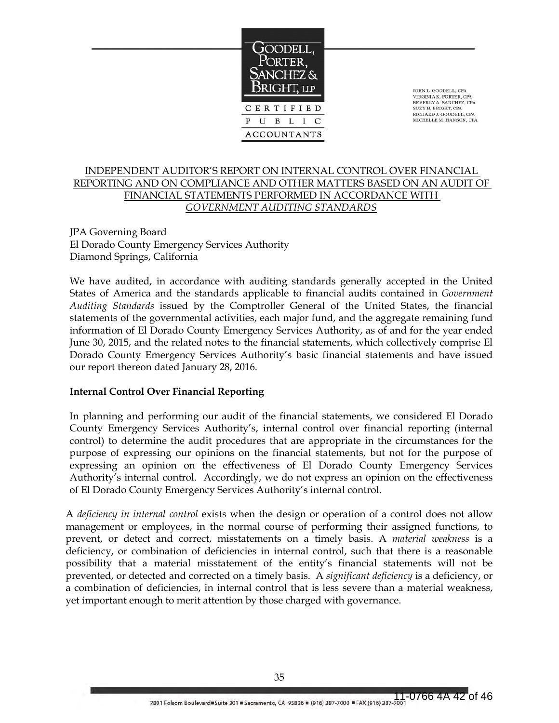

JOHN L. GOODELL, CPA VIRGINIA K. PORTER, CPA BEVERLY A. SANCHEZ, CPA SUZY H. BRIGHT, CPA RICHARD J. GOODELL, CPA MICHELLE M. HANSON, CPA

### INDEPENDENT AUDITOR'S REPORT ON INTERNAL CONTROL OVER FINANCIAL REPORTING AND ON COMPLIANCE AND OTHER MATTERS BASED ON AN AUDIT OF FINANCIAL STATEMENTS PERFORMED IN ACCORDANCE WITH *GOVERNMENT AUDITING STANDARDS*

JPA Governing Board El Dorado County Emergency Services Authority Diamond Springs, California

We have audited, in accordance with auditing standards generally accepted in the United States of America and the standards applicable to financial audits contained in *Government Auditing Standards* issued by the Comptroller General of the United States, the financial statements of the governmental activities, each major fund, and the aggregate remaining fund information of El Dorado County Emergency Services Authority, as of and for the year ended June 30, 2015, and the related notes to the financial statements, which collectively comprise El Dorado County Emergency Services Authority's basic financial statements and have issued our report thereon dated January 28, 2016.

### **Internal Control Over Financial Reporting**

In planning and performing our audit of the financial statements, we considered El Dorado County Emergency Services Authority's, internal control over financial reporting (internal control) to determine the audit procedures that are appropriate in the circumstances for the purpose of expressing our opinions on the financial statements, but not for the purpose of expressing an opinion on the effectiveness of El Dorado County Emergency Services Authority's internal control. Accordingly, we do not express an opinion on the effectiveness of El Dorado County Emergency Services Authority's internal control.

A *deficiency in internal control* exists when the design or operation of a control does not allow management or employees, in the normal course of performing their assigned functions, to prevent, or detect and correct, misstatements on a timely basis. A *material weakness* is a deficiency, or combination of deficiencies in internal control, such that there is a reasonable possibility that a material misstatement of the entity's financial statements will not be prevented, or detected and corrected on a timely basis. A *significant deficiency* is a deficiency, or a combination of deficiencies, in internal control that is less severe than a material weakness, yet important enough to merit attention by those charged with governance.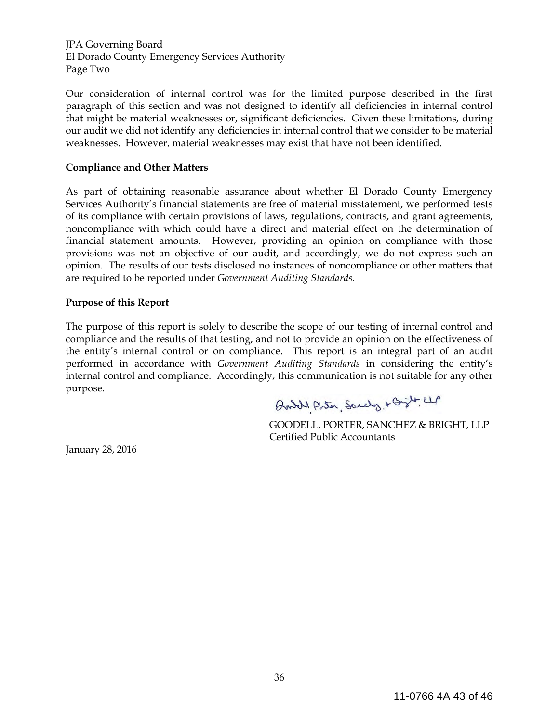JPA Governing Board El Dorado County Emergency Services Authority Page Two

Our consideration of internal control was for the limited purpose described in the first paragraph of this section and was not designed to identify all deficiencies in internal control that might be material weaknesses or, significant deficiencies. Given these limitations, during our audit we did not identify any deficiencies in internal control that we consider to be material weaknesses. However, material weaknesses may exist that have not been identified.

#### **Compliance and Other Matters**

As part of obtaining reasonable assurance about whether El Dorado County Emergency Services Authority's financial statements are free of material misstatement, we performed tests of its compliance with certain provisions of laws, regulations, contracts, and grant agreements, noncompliance with which could have a direct and material effect on the determination of financial statement amounts. However, providing an opinion on compliance with those provisions was not an objective of our audit, and accordingly, we do not express such an opinion. The results of our tests disclosed no instances of noncompliance or other matters that are required to be reported under *Government Auditing Standards*.

#### **Purpose of this Report**

The purpose of this report is solely to describe the scope of our testing of internal control and compliance and the results of that testing, and not to provide an opinion on the effectiveness of the entity's internal control or on compliance. This report is an integral part of an audit performed in accordance with *Government Auditing Standards* in considering the entity's internal control and compliance. Accordingly, this communication is not suitable for any other purpose.

Brital Porter, Sandy, + Grit LLP

 GOODELL, PORTER, SANCHEZ & BRIGHT, LLP Certified Public Accountants

January 28, 2016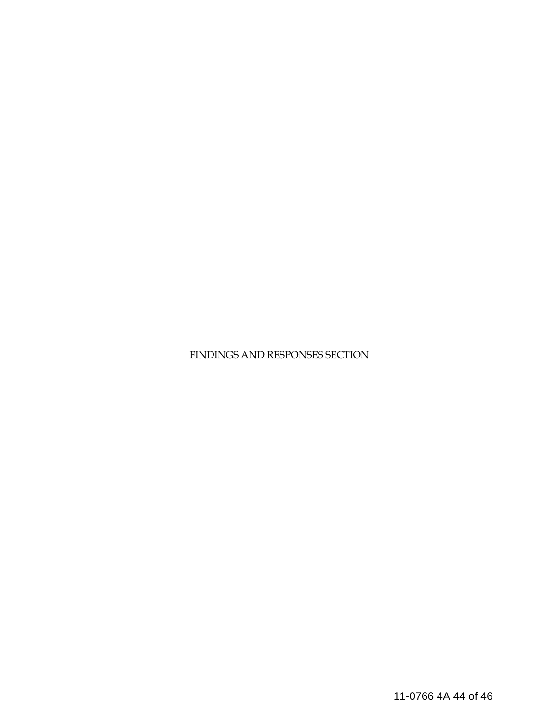FINDINGS AND RESPONSES SECTION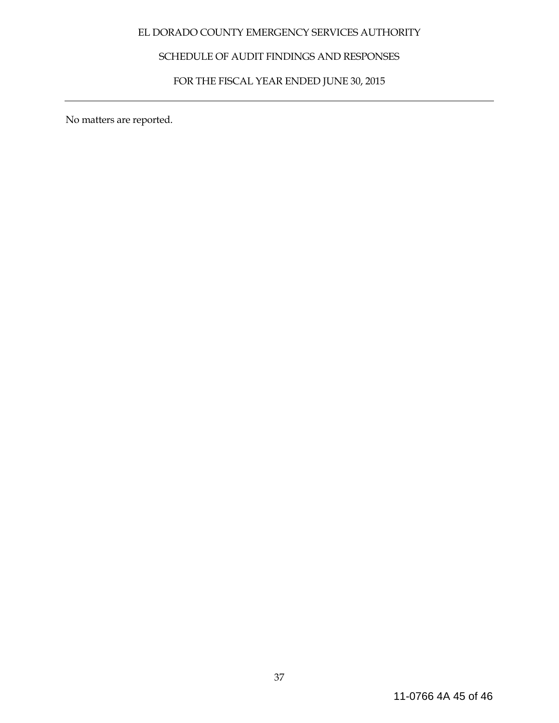# SCHEDULE OF AUDIT FINDINGS AND RESPONSES

# FOR THE FISCAL YEAR ENDED JUNE 30, 2015

No matters are reported.